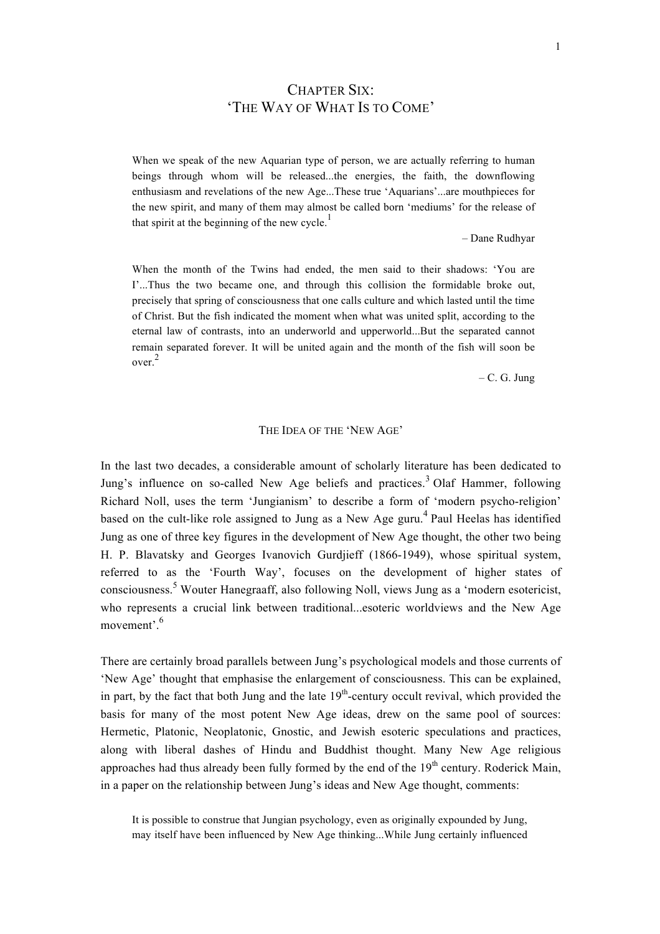# CHAPTER SIX: 'THE WAY OF WHAT IS TO COME'

When we speak of the new Aquarian type of person, we are actually referring to human beings through whom will be released...the energies, the faith, the downflowing enthusiasm and revelations of the new Age...These true 'Aquarians'...are mouthpieces for the new spirit, and many of them may almost be called born 'mediums' for the release of that spirit at the beginning of the new cycle. $<sup>1</sup>$ </sup>

– Dane Rudhyar

When the month of the Twins had ended, the men said to their shadows: 'You are I'...Thus the two became one, and through this collision the formidable broke out, precisely that spring of consciousness that one calls culture and which lasted until the time of Christ. But the fish indicated the moment when what was united split, according to the eternal law of contrasts, into an underworld and upperworld...But the separated cannot remain separated forever. It will be united again and the month of the fish will soon be over. 2

– C. G. Jung

## THE IDEA OF THE 'NEW AGE'

In the last two decades, a considerable amount of scholarly literature has been dedicated to Jung's influence on so-called New Age beliefs and practices.<sup>3</sup> Olaf Hammer, following Richard Noll, uses the term 'Jungianism' to describe a form of 'modern psycho-religion' based on the cult-like role assigned to Jung as a New Age guru.<sup>4</sup> Paul Heelas has identified Jung as one of three key figures in the development of New Age thought, the other two being H. P. Blavatsky and Georges Ivanovich Gurdjieff (1866-1949), whose spiritual system, referred to as the 'Fourth Way', focuses on the development of higher states of consciousness.<sup>5</sup> Wouter Hanegraaff, also following Noll, views Jung as a 'modern esotericist, who represents a crucial link between traditional...esoteric worldviews and the New Age movement'.<sup>6</sup>

There are certainly broad parallels between Jung's psychological models and those currents of 'New Age' thought that emphasise the enlargement of consciousness. This can be explained, in part, by the fact that both Jung and the late  $19<sup>th</sup>$ -century occult revival, which provided the basis for many of the most potent New Age ideas, drew on the same pool of sources: Hermetic, Platonic, Neoplatonic, Gnostic, and Jewish esoteric speculations and practices, along with liberal dashes of Hindu and Buddhist thought. Many New Age religious approaches had thus already been fully formed by the end of the  $19<sup>th</sup>$  century. Roderick Main, in a paper on the relationship between Jung's ideas and New Age thought, comments:

It is possible to construe that Jungian psychology, even as originally expounded by Jung, may itself have been influenced by New Age thinking...While Jung certainly influenced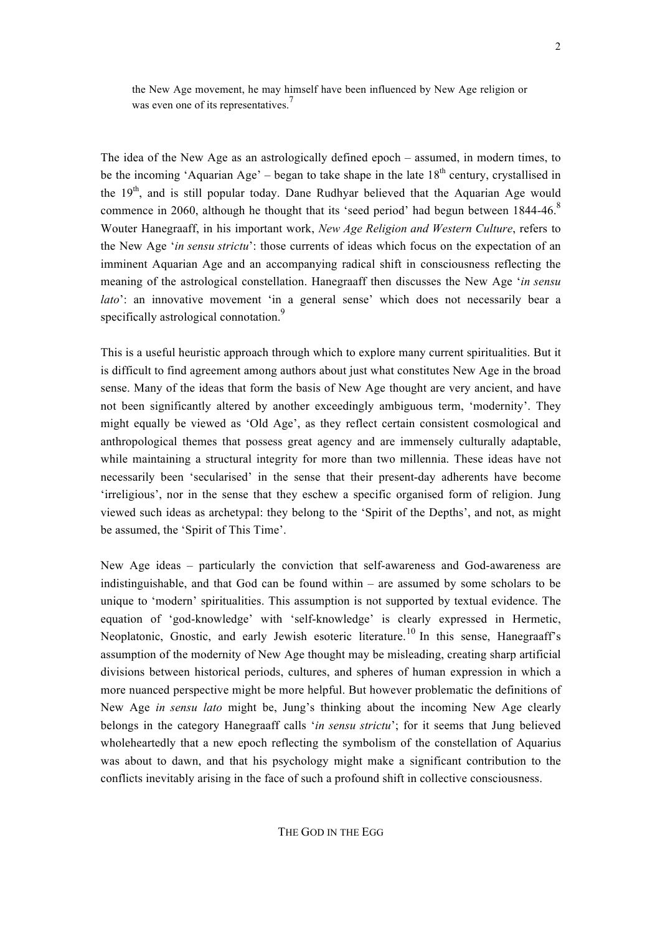the New Age movement, he may himself have been influenced by New Age religion or was even one of its representatives.<sup>7</sup>

The idea of the New Age as an astrologically defined epoch – assumed, in modern times, to be the incoming 'Aquarian Age' – began to take shape in the late  $18<sup>th</sup>$  century, crystallised in the 19<sup>th</sup>, and is still popular today. Dane Rudhyar believed that the Aquarian Age would commence in 2060, although he thought that its 'seed period' had begun between 1844-46.<sup>8</sup> Wouter Hanegraaff, in his important work, *New Age Religion and Western Culture*, refers to the New Age '*in sensu strictu*': those currents of ideas which focus on the expectation of an imminent Aquarian Age and an accompanying radical shift in consciousness reflecting the meaning of the astrological constellation. Hanegraaff then discusses the New Age '*in sensu lato*': an innovative movement 'in a general sense' which does not necessarily bear a specifically astrological connotation.<sup>9</sup>

This is a useful heuristic approach through which to explore many current spiritualities. But it is difficult to find agreement among authors about just what constitutes New Age in the broad sense. Many of the ideas that form the basis of New Age thought are very ancient, and have not been significantly altered by another exceedingly ambiguous term, 'modernity'. They might equally be viewed as 'Old Age', as they reflect certain consistent cosmological and anthropological themes that possess great agency and are immensely culturally adaptable, while maintaining a structural integrity for more than two millennia. These ideas have not necessarily been 'secularised' in the sense that their present-day adherents have become 'irreligious', nor in the sense that they eschew a specific organised form of religion. Jung viewed such ideas as archetypal: they belong to the 'Spirit of the Depths', and not, as might be assumed, the 'Spirit of This Time'.

New Age ideas – particularly the conviction that self-awareness and God-awareness are indistinguishable, and that God can be found within – are assumed by some scholars to be unique to 'modern' spiritualities. This assumption is not supported by textual evidence. The equation of 'god-knowledge' with 'self-knowledge' is clearly expressed in Hermetic, Neoplatonic, Gnostic, and early Jewish esoteric literature.<sup>10</sup> In this sense, Hanegraaff's assumption of the modernity of New Age thought may be misleading, creating sharp artificial divisions between historical periods, cultures, and spheres of human expression in which a more nuanced perspective might be more helpful. But however problematic the definitions of New Age *in sensu lato* might be, Jung's thinking about the incoming New Age clearly belongs in the category Hanegraaff calls '*in sensu strictu*'; for it seems that Jung believed wholeheartedly that a new epoch reflecting the symbolism of the constellation of Aquarius was about to dawn, and that his psychology might make a significant contribution to the conflicts inevitably arising in the face of such a profound shift in collective consciousness.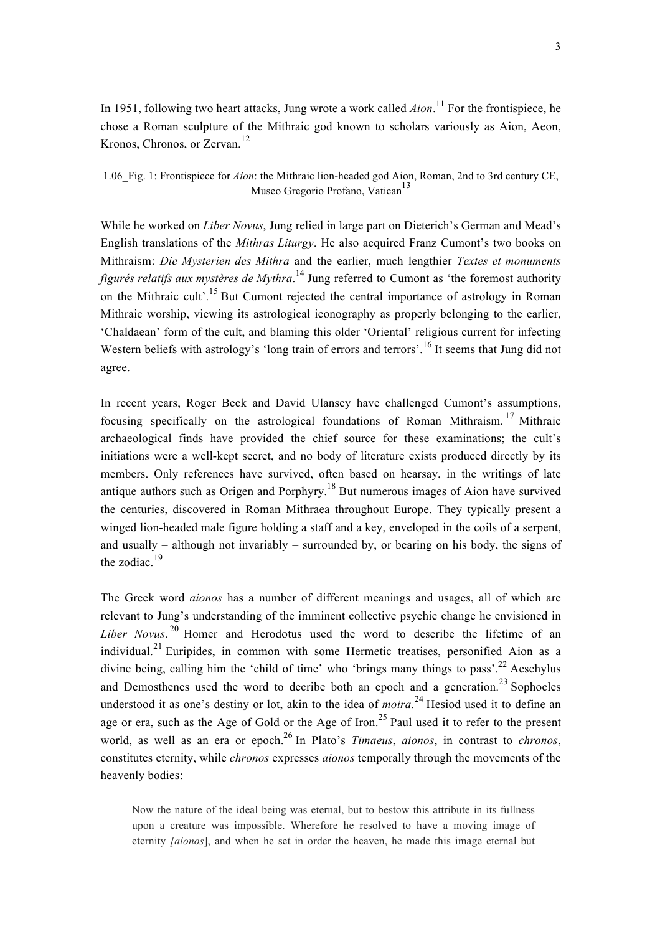In 1951, following two heart attacks, Jung wrote a work called *Aion*.<sup>11</sup> For the frontispiece, he chose a Roman sculpture of the Mithraic god known to scholars variously as Aion, Aeon, Kronos, Chronos, or Zervan.<sup>12</sup>

1.06\_Fig. 1: Frontispiece for *Aion*: the Mithraic lion-headed god Aion, Roman, 2nd to 3rd century CE, Museo Gregorio Profano, Vatican<sup>13</sup>

While he worked on *Liber Novus*, Jung relied in large part on Dieterich's German and Mead's English translations of the *Mithras Liturgy*. He also acquired Franz Cumont's two books on Mithraism: *Die Mysterien des Mithra* and the earlier, much lengthier *Textes et monuments figurés relatifs aux mystères de Mythra*. <sup>14</sup> Jung referred to Cumont as 'the foremost authority on the Mithraic cult'.<sup>15</sup> But Cumont rejected the central importance of astrology in Roman Mithraic worship, viewing its astrological iconography as properly belonging to the earlier, 'Chaldaean' form of the cult, and blaming this older 'Oriental' religious current for infecting Western beliefs with astrology's 'long train of errors and terrors'.<sup>16</sup> It seems that Jung did not agree.

In recent years, Roger Beck and David Ulansey have challenged Cumont's assumptions, focusing specifically on the astrological foundations of Roman Mithraism. <sup>17</sup> Mithraic archaeological finds have provided the chief source for these examinations; the cult's initiations were a well-kept secret, and no body of literature exists produced directly by its members. Only references have survived, often based on hearsay, in the writings of late antique authors such as Origen and Porphyry.<sup>18</sup> But numerous images of Aion have survived the centuries, discovered in Roman Mithraea throughout Europe. They typically present a winged lion-headed male figure holding a staff and a key, enveloped in the coils of a serpent, and usually – although not invariably – surrounded by, or bearing on his body, the signs of the zodiac. $19$ 

The Greek word *aionos* has a number of different meanings and usages, all of which are relevant to Jung's understanding of the imminent collective psychic change he envisioned in *Liber Novus*. <sup>20</sup> Homer and Herodotus used the word to describe the lifetime of an individual.<sup>21</sup> Euripides, in common with some Hermetic treatises, personified Aion as a divine being, calling him the 'child of time' who 'brings many things to pass'.<sup>22</sup> Aeschylus and Demosthenes used the word to decribe both an epoch and a generation.<sup>23</sup> Sophocles understood it as one's destiny or lot, akin to the idea of *moira*. <sup>24</sup> Hesiod used it to define an age or era, such as the Age of Gold or the Age of Iron.<sup>25</sup> Paul used it to refer to the present world, as well as an era or epoch.26 In Plato's *Timaeus*, *aionos*, in contrast to *chronos*, constitutes eternity, while *chronos* expresses *aionos* temporally through the movements of the heavenly bodies:

Now the nature of the ideal being was eternal, but to bestow this attribute in its fullness upon a creature was impossible. Wherefore he resolved to have a moving image of eternity *[aionos*], and when he set in order the heaven, he made this image eternal but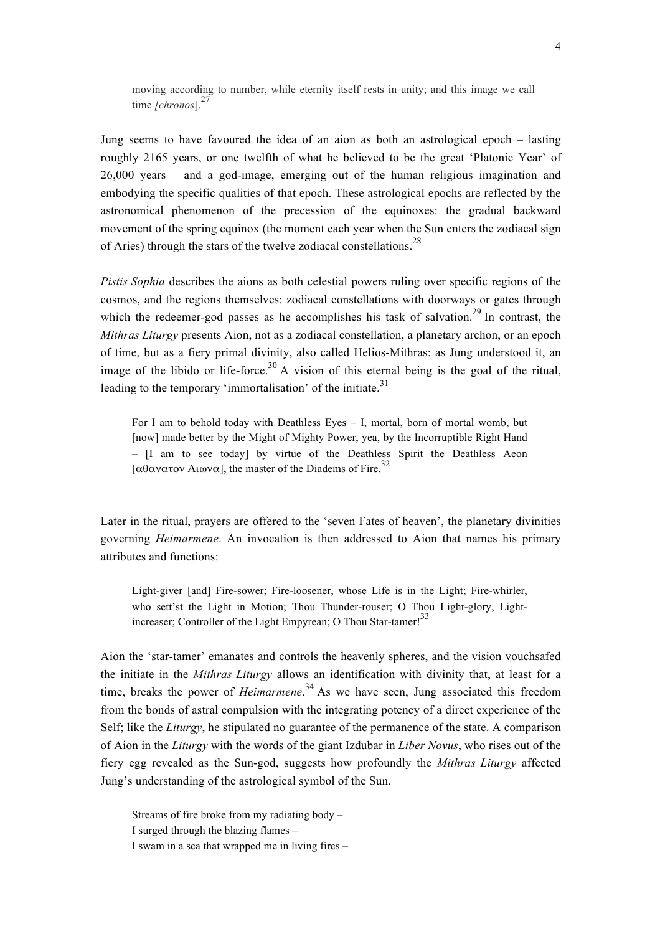moving according to number, while eternity itself rests in unity; and this image we call time *[chronos*].<sup>27</sup>

Jung seems to have favoured the idea of an aion as both an astrological epoch – lasting roughly 2165 years, or one twelfth of what he believed to be the great 'Platonic Year' of 26,000 years – and a god-image, emerging out of the human religious imagination and embodying the specific qualities of that epoch. These astrological epochs are reflected by the astronomical phenomenon of the precession of the equinoxes: the gradual backward movement of the spring equinox (the moment each year when the Sun enters the zodiacal sign of Aries) through the stars of the twelve zodiacal constellations.<sup>28</sup>

*Pistis Sophia* describes the aions as both celestial powers ruling over specific regions of the cosmos, and the regions themselves: zodiacal constellations with doorways or gates through which the redeemer-god passes as he accomplishes his task of salvation.<sup>29</sup> In contrast, the *Mithras Liturgy* presents Aion, not as a zodiacal constellation, a planetary archon, or an epoch of time, but as a fiery primal divinity, also called Helios-Mithras: as Jung understood it, an image of the libido or life-force.<sup>30</sup> A vision of this eternal being is the goal of the ritual, leading to the temporary 'immortalisation' of the initiate. $31$ 

For I am to behold today with Deathless Eyes – I, mortal, born of mortal womb, but [now] made better by the Might of Mighty Power, yea, by the Incorruptible Right Hand – [I am to see today] by virtue of the Deathless Spirit the Deathless Aeon [αθανατον Αιωνα], the master of the Diadems of Fire.<sup>32</sup>

Later in the ritual, prayers are offered to the 'seven Fates of heaven', the planetary divinities governing *Heimarmene*. An invocation is then addressed to Aion that names his primary attributes and functions:

Light-giver [and] Fire-sower; Fire-loosener, whose Life is in the Light; Fire-whirler, who sett'st the Light in Motion; Thou Thunder-rouser; O Thou Light-glory, Lightincreaser; Controller of the Light Empyrean; O Thou Star-tamer!<sup>33</sup>

Aion the 'star-tamer' emanates and controls the heavenly spheres, and the vision vouchsafed the initiate in the *Mithras Liturgy* allows an identification with divinity that, at least for a time, breaks the power of *Heimarmene*. <sup>34</sup> As we have seen, Jung associated this freedom from the bonds of astral compulsion with the integrating potency of a direct experience of the Self; like the *Liturgy*, he stipulated no guarantee of the permanence of the state. A comparison of Aion in the *Liturgy* with the words of the giant Izdubar in *Liber Novus*, who rises out of the fiery egg revealed as the Sun-god, suggests how profoundly the *Mithras Liturgy* affected Jung's understanding of the astrological symbol of the Sun.

Streams of fire broke from my radiating body – I surged through the blazing flames – I swam in a sea that wrapped me in living fires –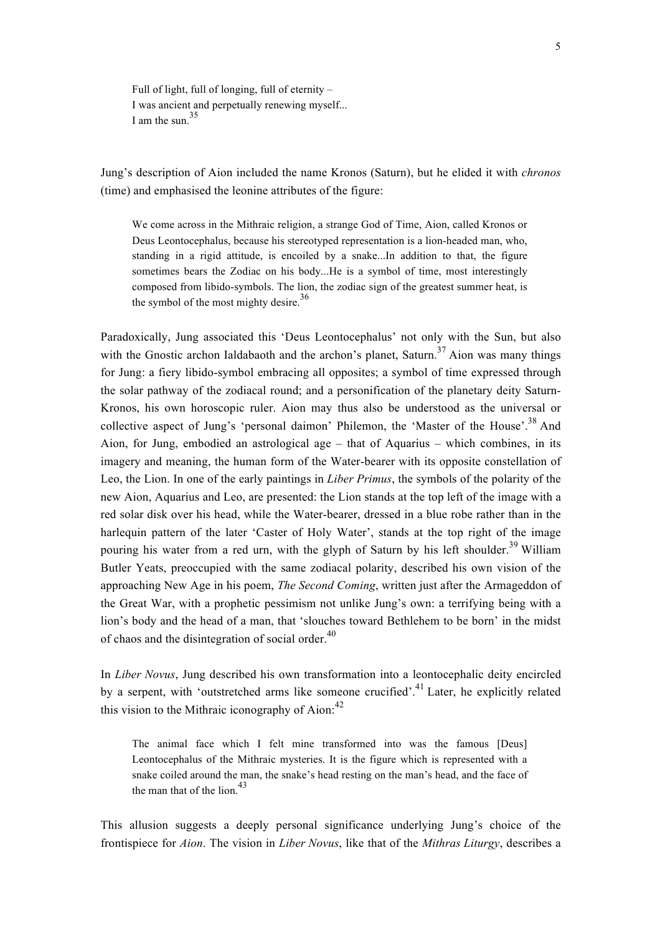Full of light, full of longing, full of eternity – I was ancient and perpetually renewing myself... I am the sun.35

Jung's description of Aion included the name Kronos (Saturn), but he elided it with *chronos* (time) and emphasised the leonine attributes of the figure:

We come across in the Mithraic religion, a strange God of Time, Aion, called Kronos or Deus Leontocephalus, because his stereotyped representation is a lion-headed man, who, standing in a rigid attitude, is encoiled by a snake...In addition to that, the figure sometimes bears the Zodiac on his body...He is a symbol of time, most interestingly composed from libido-symbols. The lion, the zodiac sign of the greatest summer heat, is the symbol of the most mighty desire.<sup>36</sup>

Paradoxically, Jung associated this 'Deus Leontocephalus' not only with the Sun, but also with the Gnostic archon Ialdabaoth and the archon's planet, Saturn.<sup>37</sup> Aion was many things for Jung: a fiery libido-symbol embracing all opposites; a symbol of time expressed through the solar pathway of the zodiacal round; and a personification of the planetary deity Saturn-Kronos, his own horoscopic ruler. Aion may thus also be understood as the universal or collective aspect of Jung's 'personal daimon' Philemon, the 'Master of the House'.<sup>38</sup> And Aion, for Jung, embodied an astrological age – that of Aquarius – which combines, in its imagery and meaning, the human form of the Water-bearer with its opposite constellation of Leo, the Lion. In one of the early paintings in *Liber Primus*, the symbols of the polarity of the new Aion, Aquarius and Leo, are presented: the Lion stands at the top left of the image with a red solar disk over his head, while the Water-bearer, dressed in a blue robe rather than in the harlequin pattern of the later 'Caster of Holy Water', stands at the top right of the image pouring his water from a red urn, with the glyph of Saturn by his left shoulder.<sup>39</sup> William Butler Yeats, preoccupied with the same zodiacal polarity, described his own vision of the approaching New Age in his poem, *The Second Coming*, written just after the Armageddon of the Great War, with a prophetic pessimism not unlike Jung's own: a terrifying being with a lion's body and the head of a man, that 'slouches toward Bethlehem to be born' in the midst of chaos and the disintegration of social order. $40$ 

In *Liber Novus*, Jung described his own transformation into a leontocephalic deity encircled by a serpent, with 'outstretched arms like someone crucified'.<sup>41</sup> Later, he explicitly related this vision to the Mithraic iconography of Aion: $^{42}$ 

The animal face which I felt mine transformed into was the famous [Deus] Leontocephalus of the Mithraic mysteries. It is the figure which is represented with a snake coiled around the man, the snake's head resting on the man's head, and the face of the man that of the lion. $43$ 

This allusion suggests a deeply personal significance underlying Jung's choice of the frontispiece for *Aion*. The vision in *Liber Novus*, like that of the *Mithras Liturgy*, describes a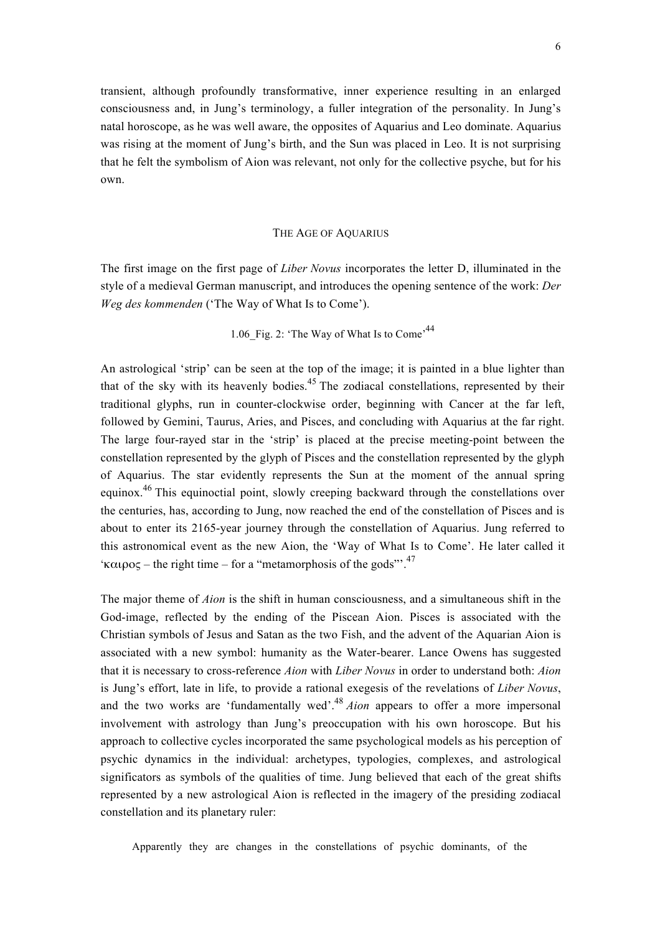transient, although profoundly transformative, inner experience resulting in an enlarged consciousness and, in Jung's terminology, a fuller integration of the personality. In Jung's natal horoscope, as he was well aware, the opposites of Aquarius and Leo dominate. Aquarius was rising at the moment of Jung's birth, and the Sun was placed in Leo. It is not surprising that he felt the symbolism of Aion was relevant, not only for the collective psyche, but for his own.

#### THE AGE OF AQUARIUS

The first image on the first page of *Liber Novus* incorporates the letter D, illuminated in the style of a medieval German manuscript, and introduces the opening sentence of the work: *Der Weg des kommenden* ('The Way of What Is to Come').

## 1.06 Fig. 2: 'The Way of What Is to Come'<sup>44</sup>

An astrological 'strip' can be seen at the top of the image; it is painted in a blue lighter than that of the sky with its heavenly bodies.<sup>45</sup> The zodiacal constellations, represented by their traditional glyphs, run in counter-clockwise order, beginning with Cancer at the far left, followed by Gemini, Taurus, Aries, and Pisces, and concluding with Aquarius at the far right. The large four-rayed star in the 'strip' is placed at the precise meeting-point between the constellation represented by the glyph of Pisces and the constellation represented by the glyph of Aquarius. The star evidently represents the Sun at the moment of the annual spring equinox.<sup>46</sup> This equinoctial point, slowly creeping backward through the constellations over the centuries, has, according to Jung, now reached the end of the constellation of Pisces and is about to enter its 2165-year journey through the constellation of Aquarius. Jung referred to this astronomical event as the new Aion, the 'Way of What Is to Come'. He later called it 'καιρος – the right time – for a "metamorphosis of the gods"<sup>47</sup>

The major theme of *Aion* is the shift in human consciousness, and a simultaneous shift in the God-image, reflected by the ending of the Piscean Aion. Pisces is associated with the Christian symbols of Jesus and Satan as the two Fish, and the advent of the Aquarian Aion is associated with a new symbol: humanity as the Water-bearer. Lance Owens has suggested that it is necessary to cross-reference *Aion* with *Liber Novus* in order to understand both: *Aion* is Jung's effort, late in life, to provide a rational exegesis of the revelations of *Liber Novus*, and the two works are 'fundamentally wed'.<sup>48</sup> *Aion* appears to offer a more impersonal involvement with astrology than Jung's preoccupation with his own horoscope. But his approach to collective cycles incorporated the same psychological models as his perception of psychic dynamics in the individual: archetypes, typologies, complexes, and astrological significators as symbols of the qualities of time. Jung believed that each of the great shifts represented by a new astrological Aion is reflected in the imagery of the presiding zodiacal constellation and its planetary ruler:

Apparently they are changes in the constellations of psychic dominants, of the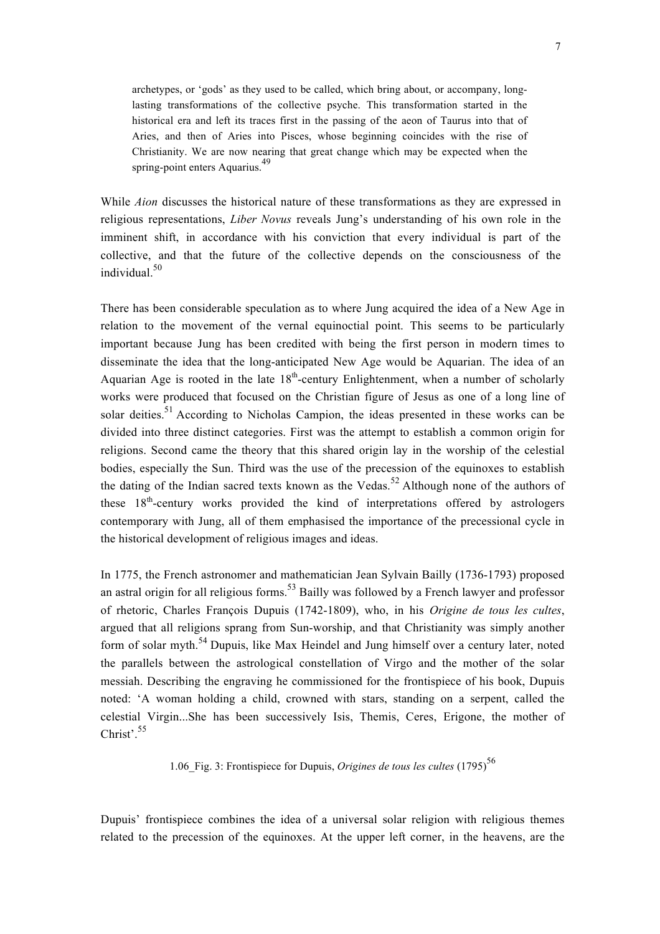archetypes, or 'gods' as they used to be called, which bring about, or accompany, longlasting transformations of the collective psyche. This transformation started in the historical era and left its traces first in the passing of the aeon of Taurus into that of Aries, and then of Aries into Pisces, whose beginning coincides with the rise of Christianity. We are now nearing that great change which may be expected when the spring-point enters Aquarius.<sup>49</sup>

While *Aion* discusses the historical nature of these transformations as they are expressed in religious representations, *Liber Novus* reveals Jung's understanding of his own role in the imminent shift, in accordance with his conviction that every individual is part of the collective, and that the future of the collective depends on the consciousness of the individual<sup>50</sup>

There has been considerable speculation as to where Jung acquired the idea of a New Age in relation to the movement of the vernal equinoctial point. This seems to be particularly important because Jung has been credited with being the first person in modern times to disseminate the idea that the long-anticipated New Age would be Aquarian. The idea of an Aquarian Age is rooted in the late  $18<sup>th</sup>$ -century Enlightenment, when a number of scholarly works were produced that focused on the Christian figure of Jesus as one of a long line of solar deities.<sup>51</sup> According to Nicholas Campion, the ideas presented in these works can be divided into three distinct categories. First was the attempt to establish a common origin for religions. Second came the theory that this shared origin lay in the worship of the celestial bodies, especially the Sun. Third was the use of the precession of the equinoxes to establish the dating of the Indian sacred texts known as the Vedas.<sup>52</sup> Although none of the authors of these 18<sup>th</sup>-century works provided the kind of interpretations offered by astrologers contemporary with Jung, all of them emphasised the importance of the precessional cycle in the historical development of religious images and ideas.

In 1775, the French astronomer and mathematician Jean Sylvain Bailly (1736-1793) proposed an astral origin for all religious forms.<sup>53</sup> Bailly was followed by a French lawyer and professor of rhetoric, Charles François Dupuis (1742-1809), who, in his *Origine de tous les cultes*, argued that all religions sprang from Sun-worship, and that Christianity was simply another form of solar myth.<sup>54</sup> Dupuis, like Max Heindel and Jung himself over a century later, noted the parallels between the astrological constellation of Virgo and the mother of the solar messiah. Describing the engraving he commissioned for the frontispiece of his book, Dupuis noted: 'A woman holding a child, crowned with stars, standing on a serpent, called the celestial Virgin...She has been successively Isis, Themis, Ceres, Erigone, the mother of Christ'.<sup>55</sup>

1.06\_Fig. 3: Frontispiece for Dupuis, *Origines de tous les cultes* (1795)<sup>56</sup>

Dupuis' frontispiece combines the idea of a universal solar religion with religious themes related to the precession of the equinoxes. At the upper left corner, in the heavens, are the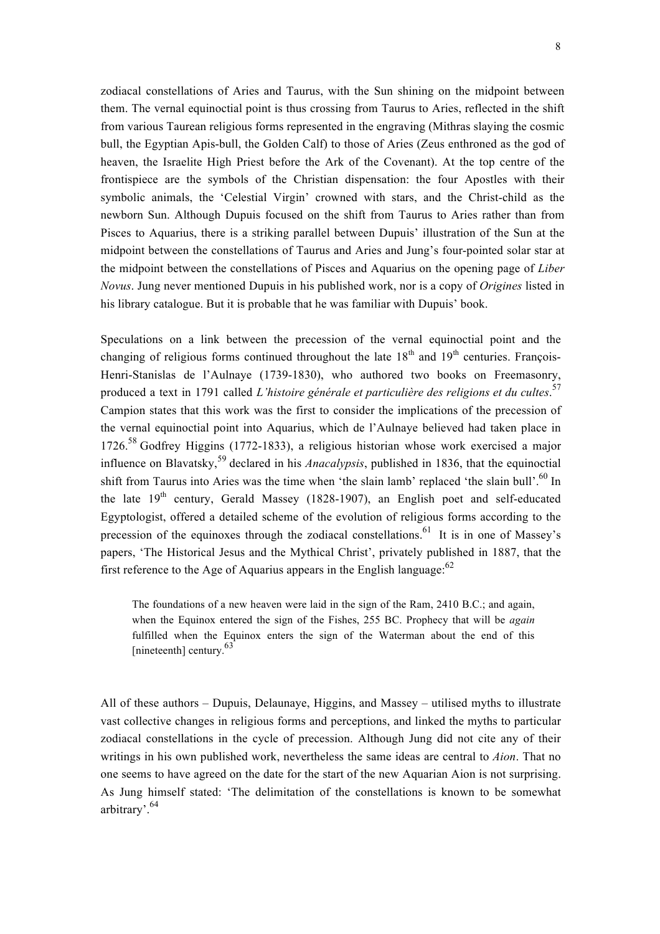zodiacal constellations of Aries and Taurus, with the Sun shining on the midpoint between them. The vernal equinoctial point is thus crossing from Taurus to Aries, reflected in the shift from various Taurean religious forms represented in the engraving (Mithras slaying the cosmic bull, the Egyptian Apis-bull, the Golden Calf) to those of Aries (Zeus enthroned as the god of heaven, the Israelite High Priest before the Ark of the Covenant). At the top centre of the frontispiece are the symbols of the Christian dispensation: the four Apostles with their symbolic animals, the 'Celestial Virgin' crowned with stars, and the Christ-child as the newborn Sun. Although Dupuis focused on the shift from Taurus to Aries rather than from Pisces to Aquarius, there is a striking parallel between Dupuis' illustration of the Sun at the midpoint between the constellations of Taurus and Aries and Jung's four-pointed solar star at the midpoint between the constellations of Pisces and Aquarius on the opening page of *Liber Novus*. Jung never mentioned Dupuis in his published work, nor is a copy of *Origines* listed in his library catalogue. But it is probable that he was familiar with Dupuis' book.

Speculations on a link between the precession of the vernal equinoctial point and the changing of religious forms continued throughout the late  $18<sup>th</sup>$  and  $19<sup>th</sup>$  centuries. Francois-Henri-Stanislas de l'Aulnaye (1739-1830), who authored two books on Freemasonry, produced a text in 1791 called *L'histoire générale et particulière des religions et du cultes*. 57 Campion states that this work was the first to consider the implications of the precession of the vernal equinoctial point into Aquarius, which de l'Aulnaye believed had taken place in 1726.<sup>58</sup> Godfrey Higgins (1772-1833), a religious historian whose work exercised a major influence on Blavatsky,<sup>59</sup> declared in his *Anacalypsis*, published in 1836, that the equinoctial shift from Taurus into Aries was the time when 'the slain lamb' replaced 'the slain bull'. $^{60}$  In the late 19<sup>th</sup> century, Gerald Massey (1828-1907), an English poet and self-educated Egyptologist, offered a detailed scheme of the evolution of religious forms according to the precession of the equinoxes through the zodiacal constellations.<sup>61</sup> It is in one of Massey's papers, 'The Historical Jesus and the Mythical Christ', privately published in 1887, that the first reference to the Age of Aquarius appears in the English language: $62$ 

The foundations of a new heaven were laid in the sign of the Ram, 2410 B.C.; and again, when the Equinox entered the sign of the Fishes, 255 BC. Prophecy that will be *again* fulfilled when the Equinox enters the sign of the Waterman about the end of this  $[$ nineteenth $]$  century.  $63$ 

All of these authors – Dupuis, Delaunaye, Higgins, and Massey – utilised myths to illustrate vast collective changes in religious forms and perceptions, and linked the myths to particular zodiacal constellations in the cycle of precession. Although Jung did not cite any of their writings in his own published work, nevertheless the same ideas are central to *Aion*. That no one seems to have agreed on the date for the start of the new Aquarian Aion is not surprising. As Jung himself stated: 'The delimitation of the constellations is known to be somewhat arbitrary'.64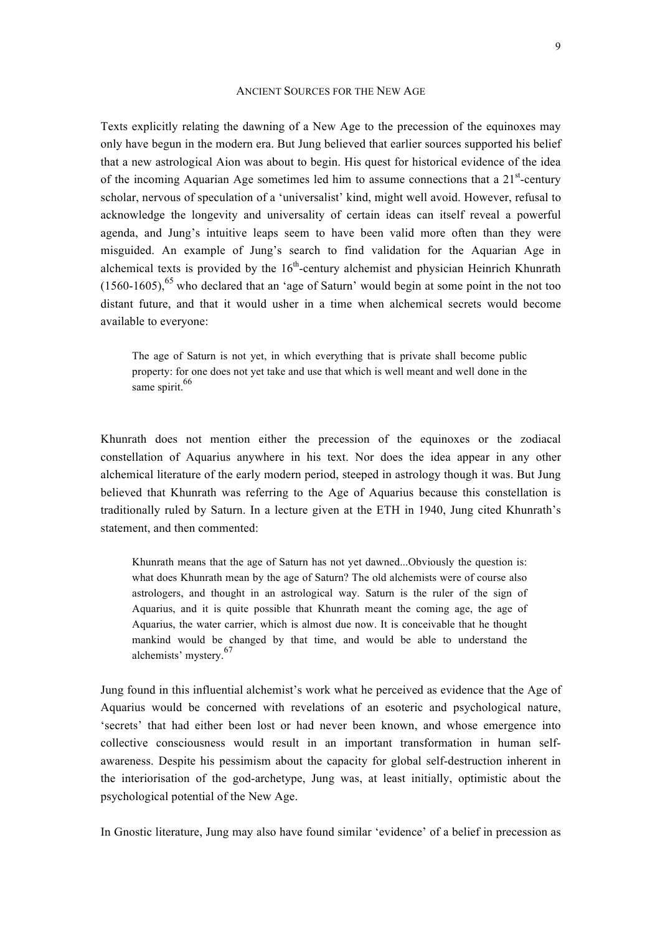### ANCIENT SOURCES FOR THE NEW AGE

Texts explicitly relating the dawning of a New Age to the precession of the equinoxes may only have begun in the modern era. But Jung believed that earlier sources supported his belief that a new astrological Aion was about to begin. His quest for historical evidence of the idea of the incoming Aquarian Age sometimes led him to assume connections that a  $21<sup>st</sup>$ -century scholar, nervous of speculation of a 'universalist' kind, might well avoid. However, refusal to acknowledge the longevity and universality of certain ideas can itself reveal a powerful agenda, and Jung's intuitive leaps seem to have been valid more often than they were misguided. An example of Jung's search to find validation for the Aquarian Age in alchemical texts is provided by the  $16<sup>th</sup>$ -century alchemist and physician Heinrich Khunrath  $(1560-1605)$ , <sup>65</sup> who declared that an 'age of Saturn' would begin at some point in the not too distant future, and that it would usher in a time when alchemical secrets would become available to everyone:

The age of Saturn is not yet, in which everything that is private shall become public property: for one does not yet take and use that which is well meant and well done in the same spirit.<sup>66</sup>

Khunrath does not mention either the precession of the equinoxes or the zodiacal constellation of Aquarius anywhere in his text. Nor does the idea appear in any other alchemical literature of the early modern period, steeped in astrology though it was. But Jung believed that Khunrath was referring to the Age of Aquarius because this constellation is traditionally ruled by Saturn. In a lecture given at the ETH in 1940, Jung cited Khunrath's statement, and then commented:

Khunrath means that the age of Saturn has not yet dawned...Obviously the question is: what does Khunrath mean by the age of Saturn? The old alchemists were of course also astrologers, and thought in an astrological way. Saturn is the ruler of the sign of Aquarius, and it is quite possible that Khunrath meant the coming age, the age of Aquarius, the water carrier, which is almost due now. It is conceivable that he thought mankind would be changed by that time, and would be able to understand the alchemists' mystery.<sup>67</sup>

Jung found in this influential alchemist's work what he perceived as evidence that the Age of Aquarius would be concerned with revelations of an esoteric and psychological nature, 'secrets' that had either been lost or had never been known, and whose emergence into collective consciousness would result in an important transformation in human selfawareness. Despite his pessimism about the capacity for global self-destruction inherent in the interiorisation of the god-archetype, Jung was, at least initially, optimistic about the psychological potential of the New Age.

In Gnostic literature, Jung may also have found similar 'evidence' of a belief in precession as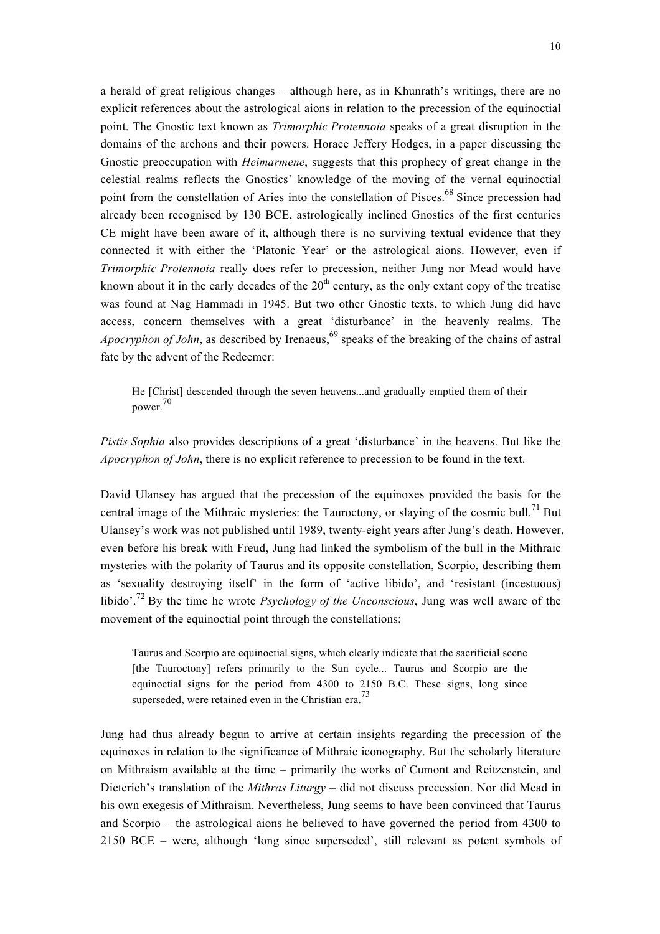a herald of great religious changes – although here, as in Khunrath's writings, there are no explicit references about the astrological aions in relation to the precession of the equinoctial point. The Gnostic text known as *Trimorphic Protennoia* speaks of a great disruption in the domains of the archons and their powers. Horace Jeffery Hodges, in a paper discussing the Gnostic preoccupation with *Heimarmene*, suggests that this prophecy of great change in the celestial realms reflects the Gnostics' knowledge of the moving of the vernal equinoctial point from the constellation of Aries into the constellation of Pisces.<sup>68</sup> Since precession had already been recognised by 130 BCE, astrologically inclined Gnostics of the first centuries CE might have been aware of it, although there is no surviving textual evidence that they connected it with either the 'Platonic Year' or the astrological aions. However, even if *Trimorphic Protennoia* really does refer to precession, neither Jung nor Mead would have known about it in the early decades of the  $20<sup>th</sup>$  century, as the only extant copy of the treatise was found at Nag Hammadi in 1945. But two other Gnostic texts, to which Jung did have access, concern themselves with a great 'disturbance' in the heavenly realms. The *Apocryphon of John*, as described by Irenaeus,<sup>69</sup> speaks of the breaking of the chains of astral fate by the advent of the Redeemer:

He [Christ] descended through the seven heavens...and gradually emptied them of their power. 70

*Pistis Sophia* also provides descriptions of a great 'disturbance' in the heavens. But like the *Apocryphon of John*, there is no explicit reference to precession to be found in the text.

David Ulansey has argued that the precession of the equinoxes provided the basis for the central image of the Mithraic mysteries: the Tauroctony, or slaying of the cosmic bull.<sup>71</sup> But Ulansey's work was not published until 1989, twenty-eight years after Jung's death. However, even before his break with Freud, Jung had linked the symbolism of the bull in the Mithraic mysteries with the polarity of Taurus and its opposite constellation, Scorpio, describing them as 'sexuality destroying itself' in the form of 'active libido', and 'resistant (incestuous) libido'.<sup>72</sup> By the time he wrote *Psychology of the Unconscious*, Jung was well aware of the movement of the equinoctial point through the constellations:

Taurus and Scorpio are equinoctial signs, which clearly indicate that the sacrificial scene [the Tauroctony] refers primarily to the Sun cycle... Taurus and Scorpio are the equinoctial signs for the period from 4300 to 2150 B.C. These signs, long since superseded, were retained even in the Christian era.<sup>73</sup>

Jung had thus already begun to arrive at certain insights regarding the precession of the equinoxes in relation to the significance of Mithraic iconography. But the scholarly literature on Mithraism available at the time – primarily the works of Cumont and Reitzenstein, and Dieterich's translation of the *Mithras Liturgy* – did not discuss precession. Nor did Mead in his own exegesis of Mithraism. Nevertheless, Jung seems to have been convinced that Taurus and Scorpio – the astrological aions he believed to have governed the period from 4300 to 2150 BCE – were, although 'long since superseded', still relevant as potent symbols of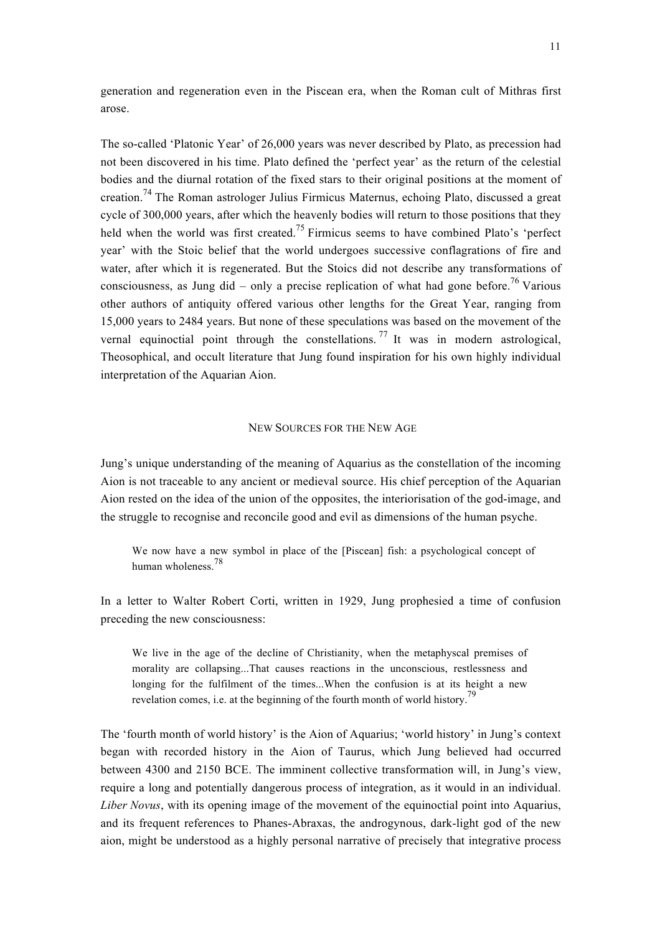generation and regeneration even in the Piscean era, when the Roman cult of Mithras first arose.

The so-called 'Platonic Year' of 26,000 years was never described by Plato, as precession had not been discovered in his time. Plato defined the 'perfect year' as the return of the celestial bodies and the diurnal rotation of the fixed stars to their original positions at the moment of creation.<sup>74</sup> The Roman astrologer Julius Firmicus Maternus, echoing Plato, discussed a great cycle of 300,000 years, after which the heavenly bodies will return to those positions that they held when the world was first created.<sup>75</sup> Firmicus seems to have combined Plato's 'perfect year' with the Stoic belief that the world undergoes successive conflagrations of fire and water, after which it is regenerated. But the Stoics did not describe any transformations of consciousness, as Jung did – only a precise replication of what had gone before.<sup>76</sup> Various other authors of antiquity offered various other lengths for the Great Year, ranging from 15,000 years to 2484 years. But none of these speculations was based on the movement of the vernal equinoctial point through the constellations.<sup>77</sup> It was in modern astrological, Theosophical, and occult literature that Jung found inspiration for his own highly individual interpretation of the Aquarian Aion.

#### NEW SOURCES FOR THE NEW AGE

Jung's unique understanding of the meaning of Aquarius as the constellation of the incoming Aion is not traceable to any ancient or medieval source. His chief perception of the Aquarian Aion rested on the idea of the union of the opposites, the interiorisation of the god-image, and the struggle to recognise and reconcile good and evil as dimensions of the human psyche.

We now have a new symbol in place of the [Piscean] fish: a psychological concept of human wholeness.<sup>78</sup>

In a letter to Walter Robert Corti, written in 1929, Jung prophesied a time of confusion preceding the new consciousness:

We live in the age of the decline of Christianity, when the metaphyscal premises of morality are collapsing...That causes reactions in the unconscious, restlessness and longing for the fulfilment of the times...When the confusion is at its height a new revelation comes, i.e. at the beginning of the fourth month of world history.<sup>79</sup>

The 'fourth month of world history' is the Aion of Aquarius; 'world history' in Jung's context began with recorded history in the Aion of Taurus, which Jung believed had occurred between 4300 and 2150 BCE. The imminent collective transformation will, in Jung's view, require a long and potentially dangerous process of integration, as it would in an individual. *Liber Novus*, with its opening image of the movement of the equinoctial point into Aquarius, and its frequent references to Phanes-Abraxas, the androgynous, dark-light god of the new aion, might be understood as a highly personal narrative of precisely that integrative process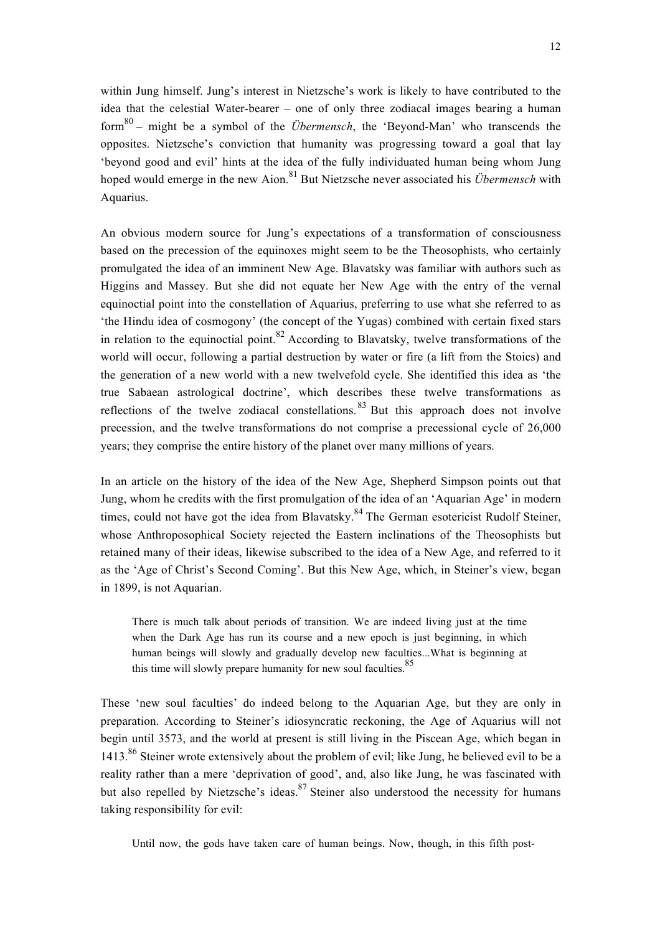within Jung himself. Jung's interest in Nietzsche's work is likely to have contributed to the idea that the celestial Water-bearer – one of only three zodiacal images bearing a human form<sup>80</sup> – might be a symbol of the *Übermensch*, the 'Beyond-Man' who transcends the opposites. Nietzsche's conviction that humanity was progressing toward a goal that lay 'beyond good and evil' hints at the idea of the fully individuated human being whom Jung hoped would emerge in the new Aion.<sup>81</sup> But Nietzsche never associated his *Übermensch* with Aquarius.

An obvious modern source for Jung's expectations of a transformation of consciousness based on the precession of the equinoxes might seem to be the Theosophists, who certainly promulgated the idea of an imminent New Age. Blavatsky was familiar with authors such as Higgins and Massey. But she did not equate her New Age with the entry of the vernal equinoctial point into the constellation of Aquarius, preferring to use what she referred to as 'the Hindu idea of cosmogony' (the concept of the Yugas) combined with certain fixed stars in relation to the equinoctial point.<sup>82</sup> According to Blavatsky, twelve transformations of the world will occur, following a partial destruction by water or fire (a lift from the Stoics) and the generation of a new world with a new twelvefold cycle. She identified this idea as 'the true Sabaean astrological doctrine', which describes these twelve transformations as reflections of the twelve zodiacal constellations.  $83$  But this approach does not involve precession, and the twelve transformations do not comprise a precessional cycle of 26,000 years; they comprise the entire history of the planet over many millions of years.

In an article on the history of the idea of the New Age, Shepherd Simpson points out that Jung, whom he credits with the first promulgation of the idea of an 'Aquarian Age' in modern times, could not have got the idea from Blavatsky.<sup>84</sup> The German esotericist Rudolf Steiner, whose Anthroposophical Society rejected the Eastern inclinations of the Theosophists but retained many of their ideas, likewise subscribed to the idea of a New Age, and referred to it as the 'Age of Christ's Second Coming'. But this New Age, which, in Steiner's view, began in 1899, is not Aquarian.

There is much talk about periods of transition. We are indeed living just at the time when the Dark Age has run its course and a new epoch is just beginning, in which human beings will slowly and gradually develop new faculties...What is beginning at this time will slowly prepare humanity for new soul faculties.<sup>85</sup>

These 'new soul faculties' do indeed belong to the Aquarian Age, but they are only in preparation. According to Steiner's idiosyncratic reckoning, the Age of Aquarius will not begin until 3573, and the world at present is still living in the Piscean Age, which began in 1413.<sup>86</sup> Steiner wrote extensively about the problem of evil; like Jung, he believed evil to be a reality rather than a mere 'deprivation of good', and, also like Jung, he was fascinated with but also repelled by Nietzsche's ideas.  $87$  Steiner also understood the necessity for humans taking responsibility for evil:

Until now, the gods have taken care of human beings. Now, though, in this fifth post-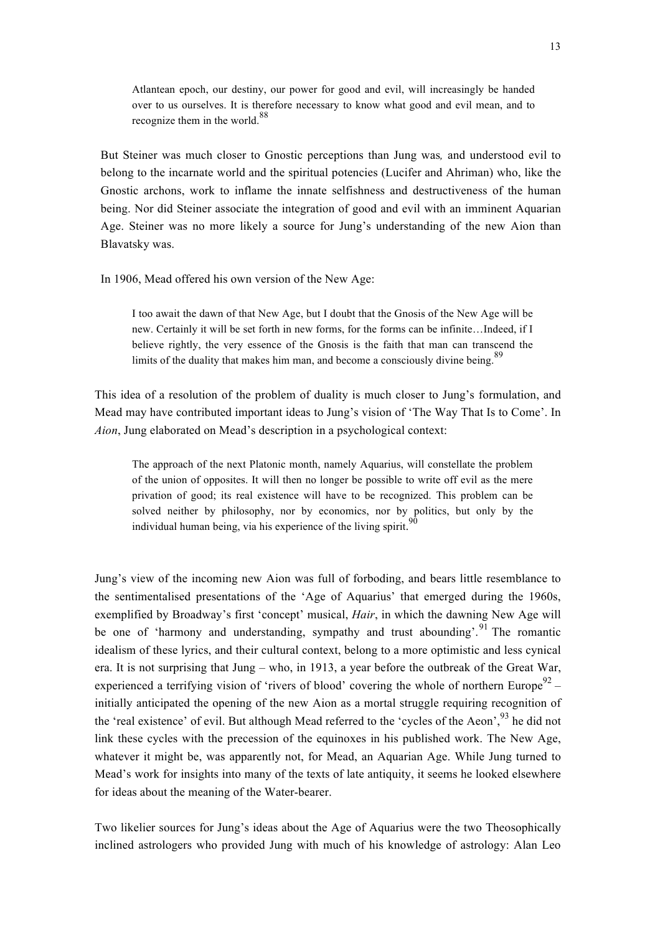Atlantean epoch, our destiny, our power for good and evil, will increasingly be handed over to us ourselves. It is therefore necessary to know what good and evil mean, and to recognize them in the world.<sup>88</sup>

But Steiner was much closer to Gnostic perceptions than Jung was*,* and understood evil to belong to the incarnate world and the spiritual potencies (Lucifer and Ahriman) who, like the Gnostic archons, work to inflame the innate selfishness and destructiveness of the human being. Nor did Steiner associate the integration of good and evil with an imminent Aquarian Age. Steiner was no more likely a source for Jung's understanding of the new Aion than Blavatsky was.

In 1906, Mead offered his own version of the New Age:

I too await the dawn of that New Age, but I doubt that the Gnosis of the New Age will be new. Certainly it will be set forth in new forms, for the forms can be infinite…Indeed, if I believe rightly, the very essence of the Gnosis is the faith that man can transcend the limits of the duality that makes him man, and become a consciously divine being.<sup>89</sup>

This idea of a resolution of the problem of duality is much closer to Jung's formulation, and Mead may have contributed important ideas to Jung's vision of 'The Way That Is to Come'. In *Aion*, Jung elaborated on Mead's description in a psychological context:

The approach of the next Platonic month, namely Aquarius, will constellate the problem of the union of opposites. It will then no longer be possible to write off evil as the mere privation of good; its real existence will have to be recognized. This problem can be solved neither by philosophy, nor by economics, nor by politics, but only by the individual human being, via his experience of the living spirit. 90

Jung's view of the incoming new Aion was full of forboding, and bears little resemblance to the sentimentalised presentations of the 'Age of Aquarius' that emerged during the 1960s, exemplified by Broadway's first 'concept' musical, *Hair*, in which the dawning New Age will be one of 'harmony and understanding, sympathy and trust abounding'.<sup>91</sup> The romantic idealism of these lyrics, and their cultural context, belong to a more optimistic and less cynical era. It is not surprising that Jung – who, in 1913, a year before the outbreak of the Great War, experienced a terrifying vision of 'rivers of blood' covering the whole of northern Europe<sup>92</sup> – initially anticipated the opening of the new Aion as a mortal struggle requiring recognition of the 'real existence' of evil. But although Mead referred to the 'cycles of the Aeon',  $93$  he did not link these cycles with the precession of the equinoxes in his published work. The New Age, whatever it might be, was apparently not, for Mead, an Aquarian Age. While Jung turned to Mead's work for insights into many of the texts of late antiquity, it seems he looked elsewhere for ideas about the meaning of the Water-bearer.

Two likelier sources for Jung's ideas about the Age of Aquarius were the two Theosophically inclined astrologers who provided Jung with much of his knowledge of astrology: Alan Leo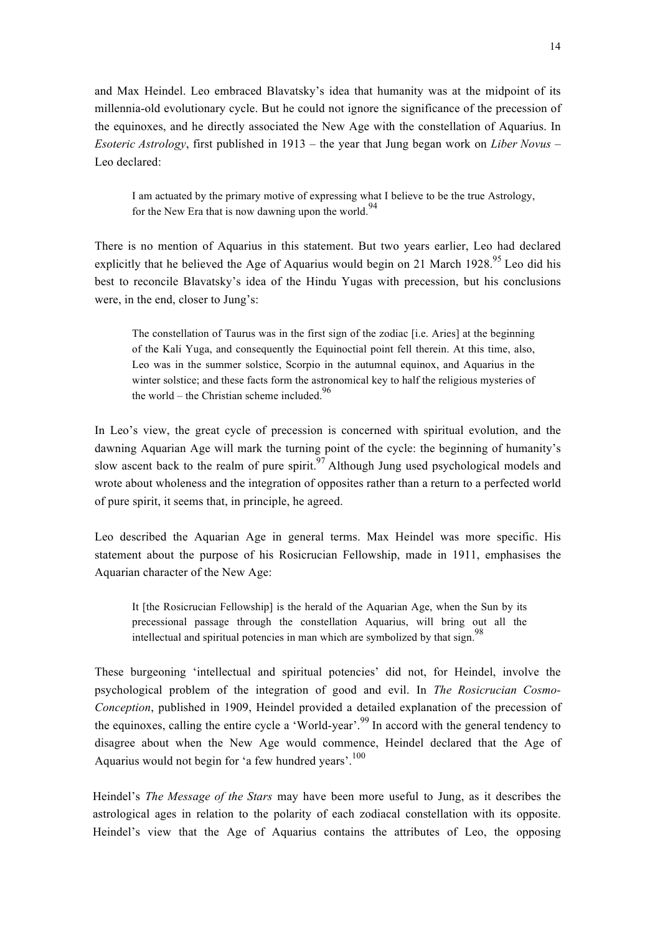and Max Heindel. Leo embraced Blavatsky's idea that humanity was at the midpoint of its millennia-old evolutionary cycle. But he could not ignore the significance of the precession of the equinoxes, and he directly associated the New Age with the constellation of Aquarius. In *Esoteric Astrology*, first published in 1913 – the year that Jung began work on *Liber Novus* – Leo declared:

I am actuated by the primary motive of expressing what I believe to be the true Astrology, for the New Era that is now dawning upon the world.<sup>94</sup>

There is no mention of Aquarius in this statement. But two years earlier, Leo had declared explicitly that he believed the Age of Aquarius would begin on 21 March 1928.<sup>95</sup> Leo did his best to reconcile Blavatsky's idea of the Hindu Yugas with precession, but his conclusions were, in the end, closer to Jung's:

The constellation of Taurus was in the first sign of the zodiac [i.e. Aries] at the beginning of the Kali Yuga, and consequently the Equinoctial point fell therein. At this time, also, Leo was in the summer solstice, Scorpio in the autumnal equinox, and Aquarius in the winter solstice; and these facts form the astronomical key to half the religious mysteries of the world – the Christian scheme included.<sup>96</sup>

In Leo's view, the great cycle of precession is concerned with spiritual evolution, and the dawning Aquarian Age will mark the turning point of the cycle: the beginning of humanity's slow ascent back to the realm of pure spirit.<sup>97</sup> Although Jung used psychological models and wrote about wholeness and the integration of opposites rather than a return to a perfected world of pure spirit, it seems that, in principle, he agreed.

Leo described the Aquarian Age in general terms. Max Heindel was more specific. His statement about the purpose of his Rosicrucian Fellowship, made in 1911, emphasises the Aquarian character of the New Age:

It [the Rosicrucian Fellowship] is the herald of the Aquarian Age, when the Sun by its precessional passage through the constellation Aquarius, will bring out all the intellectual and spiritual potencies in man which are symbolized by that sign.<sup>98</sup>

These burgeoning 'intellectual and spiritual potencies' did not, for Heindel, involve the psychological problem of the integration of good and evil. In *The Rosicrucian Cosmo-Conception*, published in 1909, Heindel provided a detailed explanation of the precession of the equinoxes, calling the entire cycle a 'World-year'. <sup>99</sup> In accord with the general tendency to disagree about when the New Age would commence, Heindel declared that the Age of Aquarius would not begin for 'a few hundred years'.<sup>100</sup>

Heindel's *The Message of the Stars* may have been more useful to Jung, as it describes the astrological ages in relation to the polarity of each zodiacal constellation with its opposite. Heindel's view that the Age of Aquarius contains the attributes of Leo, the opposing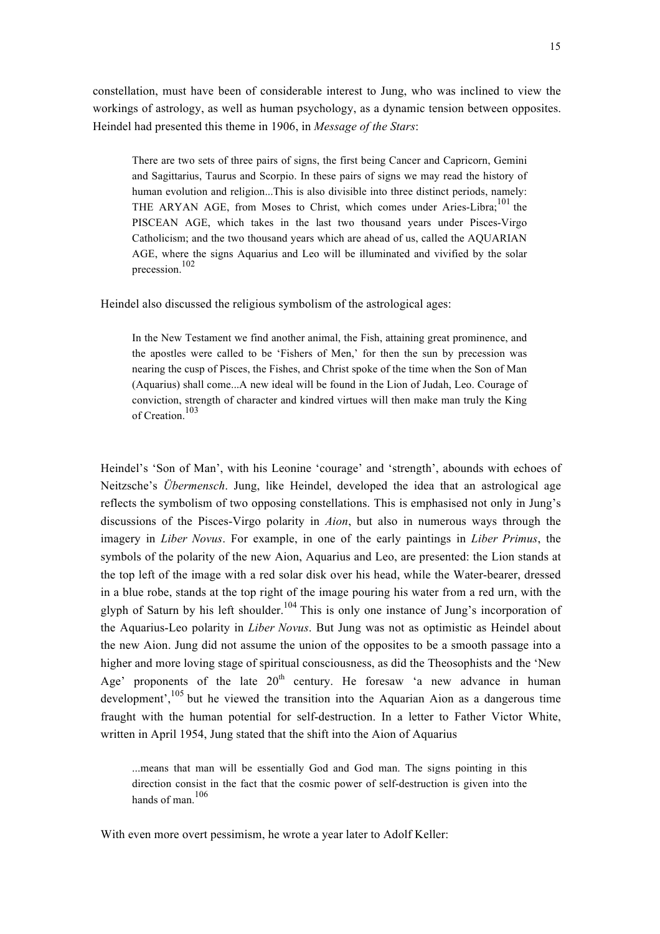constellation, must have been of considerable interest to Jung, who was inclined to view the workings of astrology, as well as human psychology, as a dynamic tension between opposites. Heindel had presented this theme in 1906, in *Message of the Stars*:

There are two sets of three pairs of signs, the first being Cancer and Capricorn, Gemini and Sagittarius, Taurus and Scorpio. In these pairs of signs we may read the history of human evolution and religion...This is also divisible into three distinct periods, namely: THE ARYAN AGE, from Moses to Christ, which comes under Aries-Libra;<sup>101</sup> the PISCEAN AGE, which takes in the last two thousand years under Pisces-Virgo Catholicism; and the two thousand years which are ahead of us, called the AQUARIAN AGE, where the signs Aquarius and Leo will be illuminated and vivified by the solar precession.102

Heindel also discussed the religious symbolism of the astrological ages:

In the New Testament we find another animal, the Fish, attaining great prominence, and the apostles were called to be 'Fishers of Men,' for then the sun by precession was nearing the cusp of Pisces, the Fishes, and Christ spoke of the time when the Son of Man (Aquarius) shall come...A new ideal will be found in the Lion of Judah, Leo. Courage of conviction, strength of character and kindred virtues will then make man truly the King of Creation<sup>103</sup>

Heindel's 'Son of Man', with his Leonine 'courage' and 'strength', abounds with echoes of Neitzsche's *Übermensch*. Jung, like Heindel, developed the idea that an astrological age reflects the symbolism of two opposing constellations. This is emphasised not only in Jung's discussions of the Pisces-Virgo polarity in *Aion*, but also in numerous ways through the imagery in *Liber Novus*. For example, in one of the early paintings in *Liber Primus*, the symbols of the polarity of the new Aion, Aquarius and Leo, are presented: the Lion stands at the top left of the image with a red solar disk over his head, while the Water-bearer, dressed in a blue robe, stands at the top right of the image pouring his water from a red urn, with the glyph of Saturn by his left shoulder.<sup>104</sup> This is only one instance of Jung's incorporation of the Aquarius-Leo polarity in *Liber Novus*. But Jung was not as optimistic as Heindel about the new Aion. Jung did not assume the union of the opposites to be a smooth passage into a higher and more loving stage of spiritual consciousness, as did the Theosophists and the 'New Age' proponents of the late  $20<sup>th</sup>$  century. He foresaw 'a new advance in human development',<sup>105</sup> but he viewed the transition into the Aquarian Aion as a dangerous time fraught with the human potential for self-destruction. In a letter to Father Victor White, written in April 1954, Jung stated that the shift into the Aion of Aquarius

...means that man will be essentially God and God man. The signs pointing in this direction consist in the fact that the cosmic power of self-destruction is given into the hands of man.<sup>106</sup>

With even more overt pessimism, he wrote a year later to Adolf Keller: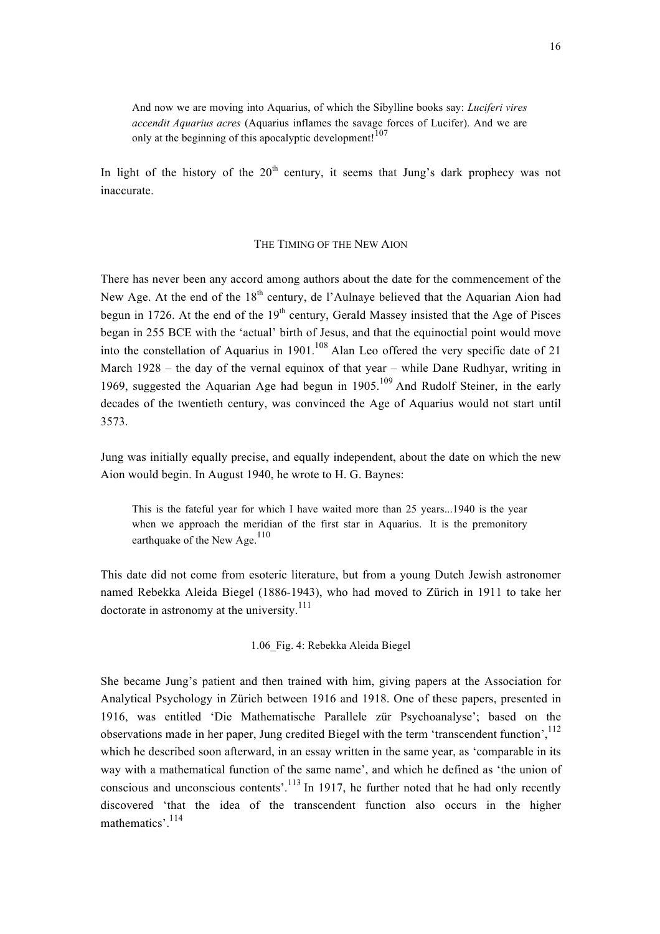And now we are moving into Aquarius, of which the Sibylline books say: *Luciferi vires accendit Aquarius acres* (Aquarius inflames the savage forces of Lucifer). And we are only at the beginning of this apocalyptic development!<sup>107</sup>

In light of the history of the  $20<sup>th</sup>$  century, it seems that Jung's dark prophecy was not inaccurate.

### THE TIMING OF THE NEW AION

There has never been any accord among authors about the date for the commencement of the New Age. At the end of the  $18<sup>th</sup>$  century, de l'Aulnaye believed that the Aquarian Aion had begun in 1726. At the end of the  $19<sup>th</sup>$  century, Gerald Massey insisted that the Age of Pisces began in 255 BCE with the 'actual' birth of Jesus, and that the equinoctial point would move into the constellation of Aquarius in  $1901$ .<sup>108</sup> Alan Leo offered the very specific date of 21 March 1928 – the day of the vernal equinox of that year – while Dane Rudhyar, writing in 1969, suggested the Aquarian Age had begun in  $1905$ .<sup>109</sup> And Rudolf Steiner, in the early decades of the twentieth century, was convinced the Age of Aquarius would not start until 3573.

Jung was initially equally precise, and equally independent, about the date on which the new Aion would begin. In August 1940, he wrote to H. G. Baynes:

This is the fateful year for which I have waited more than 25 years...1940 is the year when we approach the meridian of the first star in Aquarius. It is the premonitory earthquake of the New Age.<sup>110</sup>

This date did not come from esoteric literature, but from a young Dutch Jewish astronomer named Rebekka Aleida Biegel (1886-1943), who had moved to Zürich in 1911 to take her doctorate in astronomy at the university.<sup>111</sup>

#### 1.06\_Fig. 4: Rebekka Aleida Biegel

She became Jung's patient and then trained with him, giving papers at the Association for Analytical Psychology in Zürich between 1916 and 1918. One of these papers, presented in 1916, was entitled 'Die Mathematische Parallele zür Psychoanalyse'; based on the observations made in her paper, Jung credited Biegel with the term 'transcendent function',<sup>112</sup> which he described soon afterward, in an essay written in the same year, as 'comparable in its way with a mathematical function of the same name', and which he defined as 'the union of conscious and unconscious contents'.<sup>113</sup> In 1917, he further noted that he had only recently discovered 'that the idea of the transcendent function also occurs in the higher mathematics<sup>, 114</sup>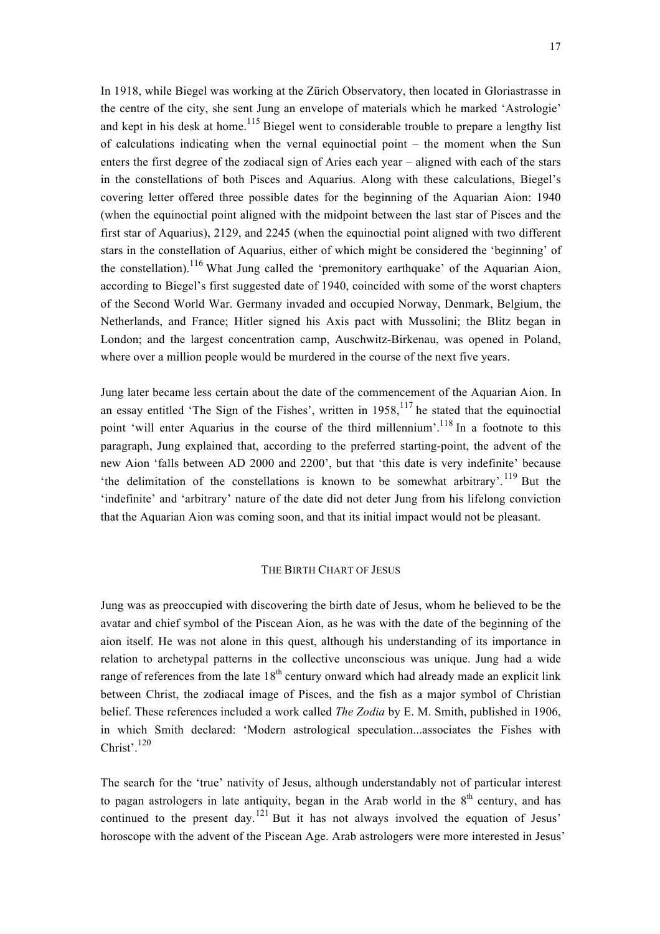In 1918, while Biegel was working at the Zürich Observatory, then located in Gloriastrasse in the centre of the city, she sent Jung an envelope of materials which he marked 'Astrologie' and kept in his desk at home.<sup>115</sup> Biegel went to considerable trouble to prepare a lengthy list of calculations indicating when the vernal equinoctial point – the moment when the Sun enters the first degree of the zodiacal sign of Aries each year – aligned with each of the stars in the constellations of both Pisces and Aquarius. Along with these calculations, Biegel's covering letter offered three possible dates for the beginning of the Aquarian Aion: 1940 (when the equinoctial point aligned with the midpoint between the last star of Pisces and the first star of Aquarius), 2129, and 2245 (when the equinoctial point aligned with two different stars in the constellation of Aquarius, either of which might be considered the 'beginning' of the constellation).<sup>116</sup> What Jung called the 'premonitory earthquake' of the Aquarian Aion, according to Biegel's first suggested date of 1940, coincided with some of the worst chapters of the Second World War. Germany invaded and occupied Norway, Denmark, Belgium, the Netherlands, and France; Hitler signed his Axis pact with Mussolini; the Blitz began in London; and the largest concentration camp, Auschwitz-Birkenau, was opened in Poland, where over a million people would be murdered in the course of the next five years.

Jung later became less certain about the date of the commencement of the Aquarian Aion. In an essay entitled 'The Sign of the Fishes', written in  $1958$ ,  $117$  he stated that the equinoctial point 'will enter Aquarius in the course of the third millennium'.<sup>118</sup> In a footnote to this paragraph, Jung explained that, according to the preferred starting-point, the advent of the new Aion 'falls between AD 2000 and 2200', but that 'this date is very indefinite' because 'the delimitation of the constellations is known to be somewhat arbitrary'. <sup>119</sup> But the 'indefinite' and 'arbitrary' nature of the date did not deter Jung from his lifelong conviction that the Aquarian Aion was coming soon, and that its initial impact would not be pleasant.

### THE BIRTH CHART OF JESUS

Jung was as preoccupied with discovering the birth date of Jesus, whom he believed to be the avatar and chief symbol of the Piscean Aion, as he was with the date of the beginning of the aion itself. He was not alone in this quest, although his understanding of its importance in relation to archetypal patterns in the collective unconscious was unique. Jung had a wide range of references from the late  $18<sup>th</sup>$  century onward which had already made an explicit link between Christ, the zodiacal image of Pisces, and the fish as a major symbol of Christian belief. These references included a work called *The Zodia* by E. M. Smith, published in 1906, in which Smith declared: 'Modern astrological speculation...associates the Fishes with Christ'.<sup>120</sup>

The search for the 'true' nativity of Jesus, although understandably not of particular interest to pagan astrologers in late antiquity, began in the Arab world in the  $8<sup>th</sup>$  century, and has continued to the present day.<sup>121</sup> But it has not always involved the equation of Jesus' horoscope with the advent of the Piscean Age. Arab astrologers were more interested in Jesus'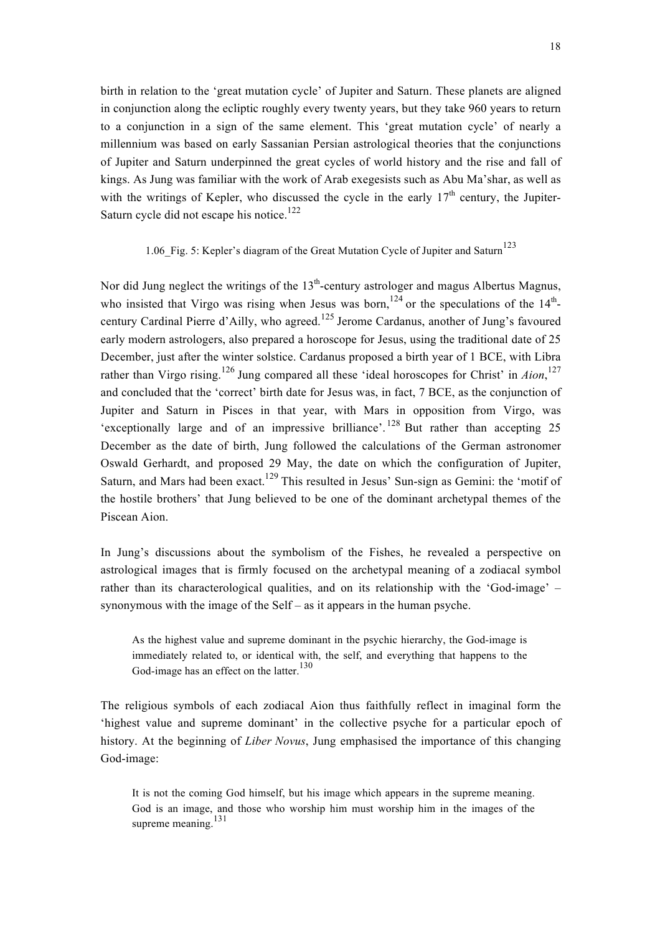birth in relation to the 'great mutation cycle' of Jupiter and Saturn. These planets are aligned in conjunction along the ecliptic roughly every twenty years, but they take 960 years to return to a conjunction in a sign of the same element. This 'great mutation cycle' of nearly a millennium was based on early Sassanian Persian astrological theories that the conjunctions of Jupiter and Saturn underpinned the great cycles of world history and the rise and fall of kings. As Jung was familiar with the work of Arab exegesists such as Abu Ma'shar, as well as with the writings of Kepler, who discussed the cycle in the early  $17<sup>th</sup>$  century, the Jupiter-Saturn cycle did not escape his notice.<sup>122</sup>

### 1.06 Fig. 5: Kepler's diagram of the Great Mutation Cycle of Jupiter and Saturn<sup>123</sup>

Nor did Jung neglect the writings of the  $13<sup>th</sup>$ -century astrologer and magus Albertus Magnus, who insisted that Virgo was rising when Jesus was born,<sup>124</sup> or the speculations of the  $14<sup>th</sup>$ century Cardinal Pierre d'Ailly, who agreed.<sup>125</sup> Jerome Cardanus, another of Jung's favoured early modern astrologers, also prepared a horoscope for Jesus, using the traditional date of 25 December, just after the winter solstice. Cardanus proposed a birth year of 1 BCE, with Libra rather than Virgo rising.<sup>126</sup> Jung compared all these 'ideal horoscopes for Christ' in  $Aion$ ,<sup>127</sup> and concluded that the 'correct' birth date for Jesus was, in fact, 7 BCE, as the conjunction of Jupiter and Saturn in Pisces in that year, with Mars in opposition from Virgo, was 'exceptionally large and of an impressive brilliance'.<sup>128</sup> But rather than accepting 25 December as the date of birth, Jung followed the calculations of the German astronomer Oswald Gerhardt, and proposed 29 May, the date on which the configuration of Jupiter, Saturn, and Mars had been exact.<sup>129</sup> This resulted in Jesus' Sun-sign as Gemini: the 'motif of the hostile brothers' that Jung believed to be one of the dominant archetypal themes of the Piscean Aion.

In Jung's discussions about the symbolism of the Fishes, he revealed a perspective on astrological images that is firmly focused on the archetypal meaning of a zodiacal symbol rather than its characterological qualities, and on its relationship with the 'God-image' – synonymous with the image of the Self – as it appears in the human psyche.

As the highest value and supreme dominant in the psychic hierarchy, the God-image is immediately related to, or identical with, the self, and everything that happens to the God-image has an effect on the latter.<sup>130</sup>

The religious symbols of each zodiacal Aion thus faithfully reflect in imaginal form the 'highest value and supreme dominant' in the collective psyche for a particular epoch of history. At the beginning of *Liber Novus*, Jung emphasised the importance of this changing God-image:

It is not the coming God himself, but his image which appears in the supreme meaning. God is an image, and those who worship him must worship him in the images of the supreme meaning. $131$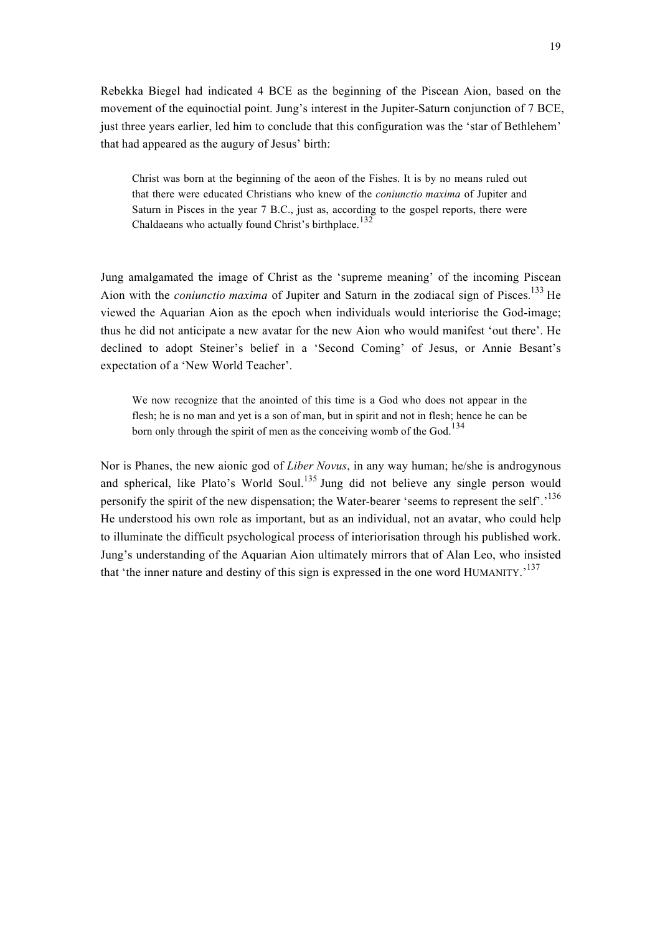Rebekka Biegel had indicated 4 BCE as the beginning of the Piscean Aion, based on the movement of the equinoctial point. Jung's interest in the Jupiter-Saturn conjunction of 7 BCE, just three years earlier, led him to conclude that this configuration was the 'star of Bethlehem' that had appeared as the augury of Jesus' birth:

Christ was born at the beginning of the aeon of the Fishes. It is by no means ruled out that there were educated Christians who knew of the *coniunctio maxima* of Jupiter and Saturn in Pisces in the year 7 B.C., just as, according to the gospel reports, there were Chaldaeans who actually found Christ's birthplace.<sup>132</sup>

Jung amalgamated the image of Christ as the 'supreme meaning' of the incoming Piscean Aion with the *coniunctio maxima* of Jupiter and Saturn in the zodiacal sign of Pisces. <sup>133</sup> He viewed the Aquarian Aion as the epoch when individuals would interiorise the God-image; thus he did not anticipate a new avatar for the new Aion who would manifest 'out there'. He declined to adopt Steiner's belief in a 'Second Coming' of Jesus, or Annie Besant's expectation of a 'New World Teacher'.

We now recognize that the anointed of this time is a God who does not appear in the flesh; he is no man and yet is a son of man, but in spirit and not in flesh; hence he can be born only through the spirit of men as the conceiving womb of the God.<sup>134</sup>

Nor is Phanes, the new aionic god of *Liber Novus*, in any way human; he/she is androgynous and spherical, like Plato's World Soul.<sup>135</sup> Jung did not believe any single person would personify the spirit of the new dispensation; the Water-bearer 'seems to represent the self'.<sup>136</sup> He understood his own role as important, but as an individual, not an avatar, who could help to illuminate the difficult psychological process of interiorisation through his published work. Jung's understanding of the Aquarian Aion ultimately mirrors that of Alan Leo, who insisted that 'the inner nature and destiny of this sign is expressed in the one word HUMANITY.<sup>137</sup>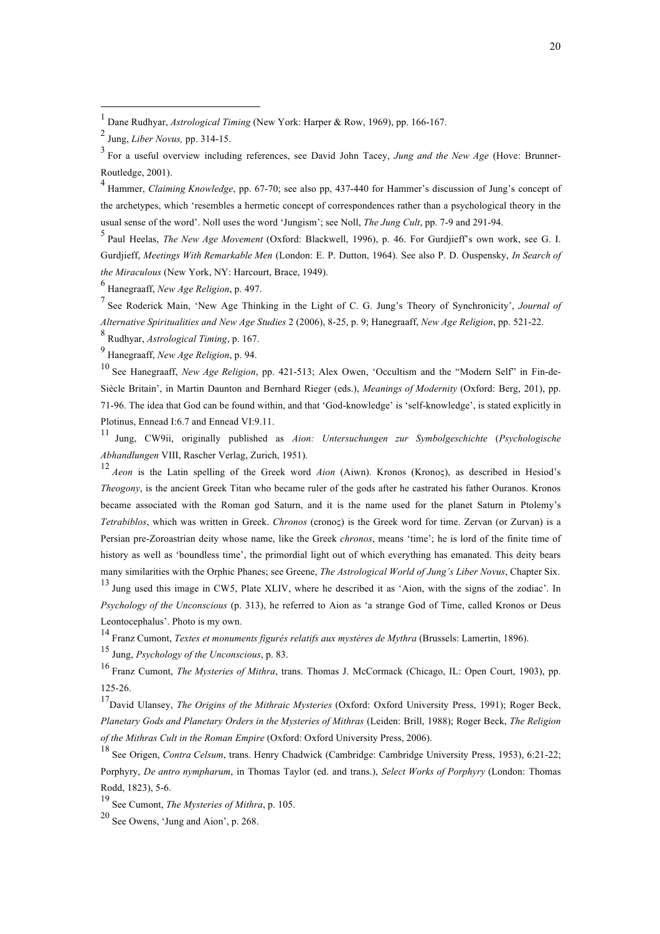l

<sup>4</sup> Hammer, *Claiming Knowledge*, pp. 67-70; see also pp, 437-440 for Hammer's discussion of Jung's concept of the archetypes, which 'resembles a hermetic concept of correspondences rather than a psychological theory in the usual sense of the word'. Noll uses the word 'Jungism'; see Noll, *The Jung Cult*, pp. 7-9 and 291-94.

<sup>5</sup> Paul Heelas, *The New Age Movement* (Oxford: Blackwell, 1996), p. 46. For Gurdjieff's own work, see G. I. Gurdjieff, *Meetings With Remarkable Men* (London: E. P. Dutton, 1964). See also P. D. Ouspensky, *In Search of the Miraculous* (New York, NY: Harcourt, Brace, 1949).

<sup>6</sup> Hanegraaff, *New Age Religion*, p. 497.

<sup>7</sup> See Roderick Main, 'New Age Thinking in the Light of C. G. Jung's Theory of Synchronicity', *Journal of Alternative Spiritualities and New Age Studies* 2 (2006), 8-25, p. 9; Hanegraaff, *New Age Religion*, pp. 521-22.

<sup>8</sup> Rudhyar, *Astrological Timing*, p. 167.

<sup>9</sup> Hanegraaff, *New Age Religion*, p. 94.

<sup>10</sup> See Hanegraaff, *New Age Religion*, pp. 421-513; Alex Owen, 'Occultism and the "Modern Self" in Fin-de-Siècle Britain', in Martin Daunton and Bernhard Rieger (eds.), *Meanings of Modernity* (Oxford: Berg, 201), pp. 71-96. The idea that God can be found within, and that 'God-knowledge' is 'self-knowledge', is stated explicitly in Plotinus, Ennead I:6.7 and Ennead VI:9.11.

<sup>11</sup> Jung, CW9ii, originally published as *Aion: Untersuchungen zur Symbolgeschichte* (*Psychologische Abhandlungen* VIII, Rascher Verlag, Zurich, 1951).

<sup>12</sup> *Aeon* is the Latin spelling of the Greek word *Aion* (Aiwn). Kronos (Kronoς), as described in Hesiod's *Theogony*, is the ancient Greek Titan who became ruler of the gods after he castrated his father Ouranos. Kronos became associated with the Roman god Saturn, and it is the name used for the planet Saturn in Ptolemy's *Tetrabiblos*, which was written in Greek. *Chronos* (cronoς) is the Greek word for time. Zervan (or Zurvan) is a Persian pre-Zoroastrian deity whose name, like the Greek *chronos*, means 'time'; he is lord of the finite time of history as well as 'boundless time', the primordial light out of which everything has emanated. This deity bears many similarities with the Orphic Phanes; see Greene, *The Astrological World of Jung's Liber Novus*, Chapter Six. <sup>13</sup> Jung used this image in CW5, Plate XLIV, where he described it as 'Aion, with the signs of the zodiac'. In *Psychology of the Unconscious* (p. 313), he referred to Aion as 'a strange God of Time, called Kronos or Deus Leontocephalus'. Photo is my own.

<sup>14</sup> Franz Cumont, *Textes et monuments figurés relatifs aux mystères de Mythra* (Brussels: Lamertin, 1896).

<sup>15</sup> Jung, *Psychology of the Unconscious*, p. 83.

<sup>16</sup> Franz Cumont, *The Mysteries of Mithra*, trans. Thomas J. McCormack (Chicago, IL: Open Court, 1903), pp. 125-26.

17David Ulansey, *The Origins of the Mithraic Mysteries* (Oxford: Oxford University Press, 1991); Roger Beck, *Planetary Gods and Planetary Orders in the Mysteries of Mithras* (Leiden: Brill, 1988); Roger Beck, *The Religion of the Mithras Cult in the Roman Empire* (Oxford: Oxford University Press, 2006).

<sup>18</sup> See Origen, *Contra Celsum*, trans. Henry Chadwick (Cambridge: Cambridge University Press, 1953), 6:21-22; Porphyry, *De antro nympharum*, in Thomas Taylor (ed. and trans.), *Select Works of Porphyry* (London: Thomas Rodd, 1823), 5-6.

<sup>19</sup> See Cumont, *The Mysteries of Mithra*, p. 105.

<sup>20</sup> See Owens, 'Jung and Aion', p. 268.

<sup>1</sup> Dane Rudhyar, *Astrological Timing* (New York: Harper & Row, 1969), pp. 166-167.

<sup>2</sup> Jung, *Liber Novus,* pp. 314-15.

<sup>3</sup> For a useful overview including references, see David John Tacey, *Jung and the New Age* (Hove: Brunner-Routledge, 2001).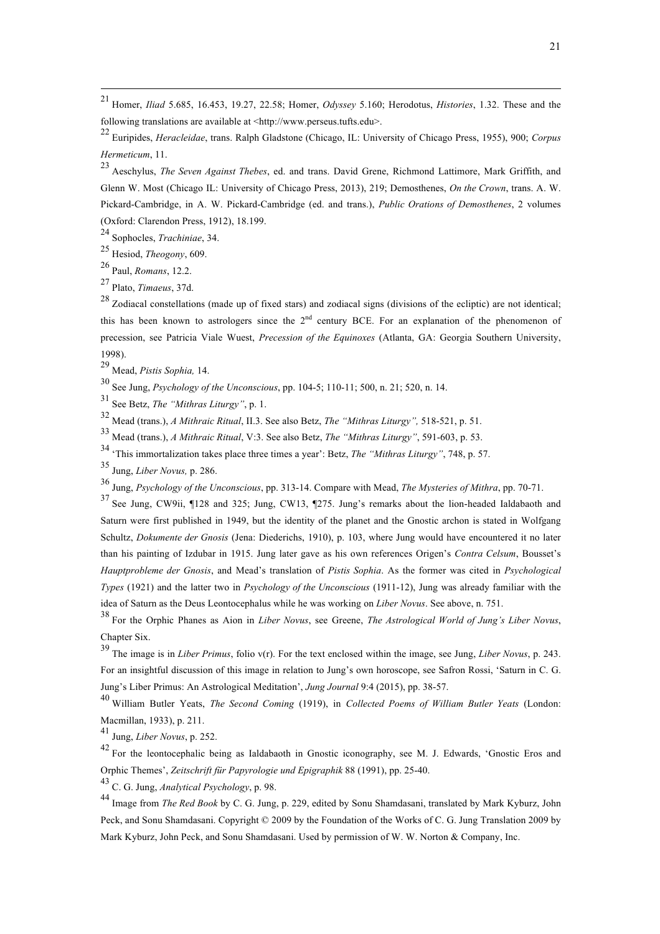<sup>21</sup> Homer, *Iliad* 5.685, 16.453, 19.27, 22.58; Homer, *Odyssey* 5.160; Herodotus, *Histories*, 1.32. These and the following translations are available at <http://www.perseus.tufts.edu>.

<sup>22</sup> Euripides, *Heracleidae*, trans. Ralph Gladstone (Chicago, IL: University of Chicago Press, 1955), 900; *Corpus Hermeticum*, 11.

<sup>23</sup> Aeschylus, *The Seven Against Thebes*, ed. and trans. David Grene, Richmond Lattimore, Mark Griffith, and Glenn W. Most (Chicago IL: University of Chicago Press, 2013), 219; Demosthenes, *On the Crown*, trans. A. W. Pickard-Cambridge, in A. W. Pickard-Cambridge (ed. and trans.), *Public Orations of Demosthenes*, 2 volumes (Oxford: Clarendon Press, 1912), 18.199.

<sup>24</sup> Sophocles, *Trachiniae*, 34.

<sup>25</sup> Hesiod, *Theogony*, 609.

<sup>26</sup> Paul, *Romans*, 12.2.

l

<sup>27</sup> Plato, *Timaeus*, 37d.

<sup>28</sup> Zodiacal constellations (made up of fixed stars) and zodiacal signs (divisions of the ecliptic) are not identical; this has been known to astrologers since the  $2<sup>nd</sup>$  century BCE. For an explanation of the phenomenon of precession, see Patricia Viale Wuest, *Precession of the Equinoxes* (Atlanta, GA: Georgia Southern University, 1998).

<sup>29</sup> Mead, *Pistis Sophia,* 14.

<sup>30</sup> See Jung, *Psychology of the Unconscious*, pp. 104-5; 110-11; 500, n. 21; 520, n. 14.

<sup>31</sup> See Betz, *The "Mithras Liturgy"*, p. 1.

<sup>32</sup> Mead (trans.), *A Mithraic Ritual*, II.3. See also Betz, *The "Mithras Liturgy",* 518-521, p. 51.

<sup>33</sup> Mead (trans.), *A Mithraic Ritual*, V:3. See also Betz, *The "Mithras Liturgy"*, 591-603, p. 53.

<sup>34</sup> 'This immortalization takes place three times a year': Betz, *The "Mithras Liturgy"*, 748, p. 57.

<sup>35</sup> Jung, *Liber Novus,* p. 286.

<sup>36</sup> Jung, *Psychology of the Unconscious*, pp. 313-14. Compare with Mead, *The Mysteries of Mithra*, pp. 70-71.

<sup>37</sup> See Jung, CW9ii, ¶128 and 325; Jung, CW13, ¶275. Jung's remarks about the lion-headed Ialdabaoth and Saturn were first published in 1949, but the identity of the planet and the Gnostic archon is stated in Wolfgang Schultz, *Dokumente der Gnosis* (Jena: Diederichs, 1910), p. 103, where Jung would have encountered it no later than his painting of Izdubar in 1915. Jung later gave as his own references Origen's *Contra Celsum*, Bousset's *Hauptprobleme der Gnosis*, and Mead's translation of *Pistis Sophia*. As the former was cited in *Psychological Types* (1921) and the latter two in *Psychology of the Unconscious* (1911-12), Jung was already familiar with the idea of Saturn as the Deus Leontocephalus while he was working on *Liber Novus*. See above, n. 751.

<sup>38</sup> For the Orphic Phanes as Aion in *Liber Novus*, see Greene, *The Astrological World of Jung's Liber Novus*, Chapter Six.

<sup>39</sup> The image is in *Liber Primus*, folio v(r). For the text enclosed within the image, see Jung, *Liber Novus*, p. 243. For an insightful discussion of this image in relation to Jung's own horoscope, see Safron Rossi, 'Saturn in C. G. Jung's Liber Primus: An Astrological Meditation', *Jung Journal* 9:4 (2015), pp. 38-57.

<sup>40</sup> William Butler Yeats, *The Second Coming* (1919), in *Collected Poems of William Butler Yeats* (London: Macmillan, 1933), p. 211.

<sup>41</sup> Jung, *Liber Novus*, p. 252.

<sup>42</sup> For the leontocephalic being as Ialdabaoth in Gnostic iconography, see M. J. Edwards, 'Gnostic Eros and Orphic Themes', *Zeitschrift für Papyrologie und Epigraphik* 88 (1991), pp. 25-40.

<sup>43</sup> C. G. Jung, *Analytical Psychology*, p. 98.

<sup>44</sup> Image from *The Red Book* by C. G. Jung, p. 229, edited by Sonu Shamdasani, translated by Mark Kyburz, John Peck, and Sonu Shamdasani. Copyright © 2009 by the Foundation of the Works of C. G. Jung Translation 2009 by Mark Kyburz, John Peck, and Sonu Shamdasani. Used by permission of W. W. Norton & Company, Inc.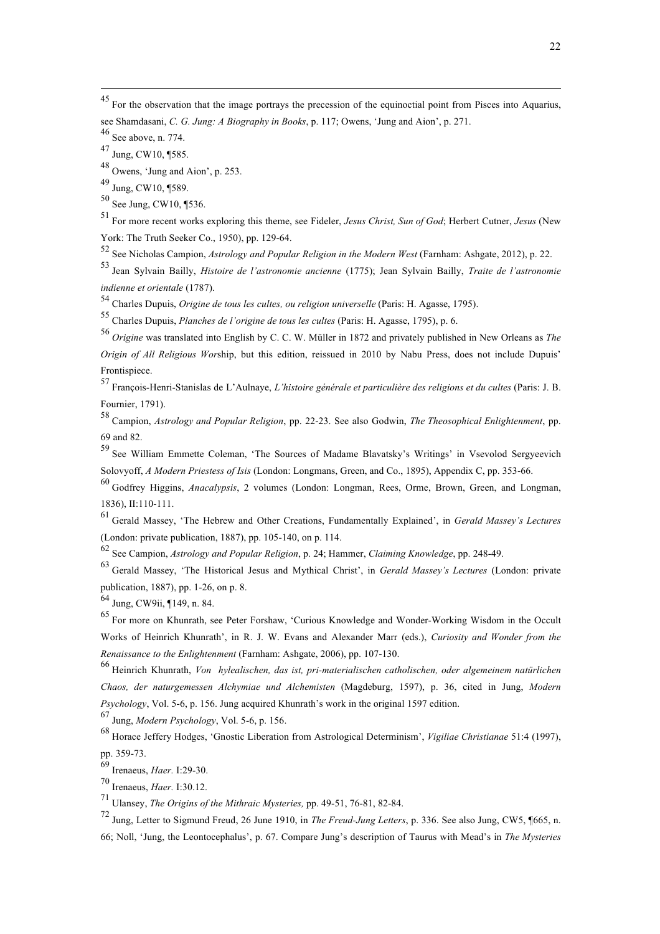$^{45}$  For the observation that the image portrays the precession of the equinoctial point from Pisces into Aquarius, see Shamdasani, *C. G. Jung: A Biography in Books*, p. 117; Owens, 'Jung and Aion', p. 271.

<sup>46</sup> See above, n. 774.

l

<sup>47</sup> Jung, CW10, ¶585.

<sup>48</sup> Owens, 'Jung and Aion', p. 253.

<sup>49</sup> Jung, CW10, ¶589.

<sup>50</sup> See Jung, CW10, ¶536.

<sup>51</sup> For more recent works exploring this theme, see Fideler, *Jesus Christ, Sun of God*; Herbert Cutner, *Jesus* (New York: The Truth Seeker Co., 1950), pp. 129-64.

<sup>52</sup> See Nicholas Campion, *Astrology and Popular Religion in the Modern West* (Farnham: Ashgate, 2012), p. 22.

<sup>53</sup> Jean Sylvain Bailly, *Histoire de l'astronomie ancienne* (1775); Jean Sylvain Bailly, *Traite de l'astronomie indienne et orientale* (1787).

<sup>54</sup> Charles Dupuis, *Origine de tous les cultes, ou religion universelle* (Paris: H. Agasse, 1795).

<sup>55</sup> Charles Dupuis, *Planches de l'origine de tous les cultes* (Paris: H. Agasse, 1795), p. 6.

<sup>56</sup> *Origine* was translated into English by C. C. W. Müller in 1872 and privately published in New Orleans as *The Origin of All Religious Wor*ship, but this edition, reissued in 2010 by Nabu Press, does not include Dupuis' Frontispiece.

<sup>57</sup> François-Henri-Stanislas de L'Aulnaye, *L'histoire générale et particulière des religions et du cultes* (Paris: J. B. Fournier, 1791).

<sup>58</sup> Campion, *Astrology and Popular Religion*, pp. 22-23. See also Godwin, *The Theosophical Enlightenment*, pp. 69 and 82.

<sup>59</sup> See William Emmette Coleman, 'The Sources of Madame Blavatsky's Writings' in Vsevolod Sergyeevich Solovyoff, *A Modern Priestess of Isis* (London: Longmans, Green, and Co., 1895), Appendix C, pp. 353-66.

<sup>60</sup> Godfrey Higgins, *Anacalypsis*, 2 volumes (London: Longman, Rees, Orme, Brown, Green, and Longman, 1836), II:110-111.

<sup>61</sup> Gerald Massey, 'The Hebrew and Other Creations, Fundamentally Explained', in *Gerald Massey's Lectures* (London: private publication, 1887), pp. 105-140, on p. 114.

<sup>62</sup> See Campion, *Astrology and Popular Religion*, p. 24; Hammer, *Claiming Knowledge*, pp. 248-49.

<sup>63</sup> Gerald Massey, 'The Historical Jesus and Mythical Christ', in *Gerald Massey's Lectures* (London: private publication, 1887), pp. 1-26, on p. 8.

<sup>64</sup> Jung, CW9ii, ¶149, n. 84.

<sup>65</sup> For more on Khunrath, see Peter Forshaw, 'Curious Knowledge and Wonder-Working Wisdom in the Occult Works of Heinrich Khunrath', in R. J. W. Evans and Alexander Marr (eds.), *Curiosity and Wonder from the Renaissance to the Enlightenment* (Farnham: Ashgate, 2006), pp. 107-130.

<sup>66</sup> Heinrich Khunrath, *Von hylealischen, das ist, pri-materialischen catholischen, oder algemeinem natürlichen Chaos, der naturgemessen Alchymiae und Alchemisten* (Magdeburg, 1597), p. 36, cited in Jung, *Modern Psychology*, Vol. 5-6, p. 156. Jung acquired Khunrath's work in the original 1597 edition.

<sup>67</sup> Jung, *Modern Psychology*, Vol. 5-6, p. 156.

<sup>68</sup> Horace Jeffery Hodges, 'Gnostic Liberation from Astrological Determinism', *Vigiliae Christianae* 51:4 (1997), pp. 359-73.

<sup>69</sup> Irenaeus, *Haer.* I:29-30.

<sup>70</sup> Irenaeus, *Haer.* I:30.12.

<sup>71</sup> Ulansey, *The Origins of the Mithraic Mysteries,* pp. 49-51, 76-81, 82-84.

<sup>72</sup> Jung, Letter to Sigmund Freud, 26 June 1910, in *The Freud-Jung Letters*, p. 336. See also Jung, CW5, ¶665, n. 66; Noll, 'Jung, the Leontocephalus', p. 67. Compare Jung's description of Taurus with Mead's in *The Mysteries*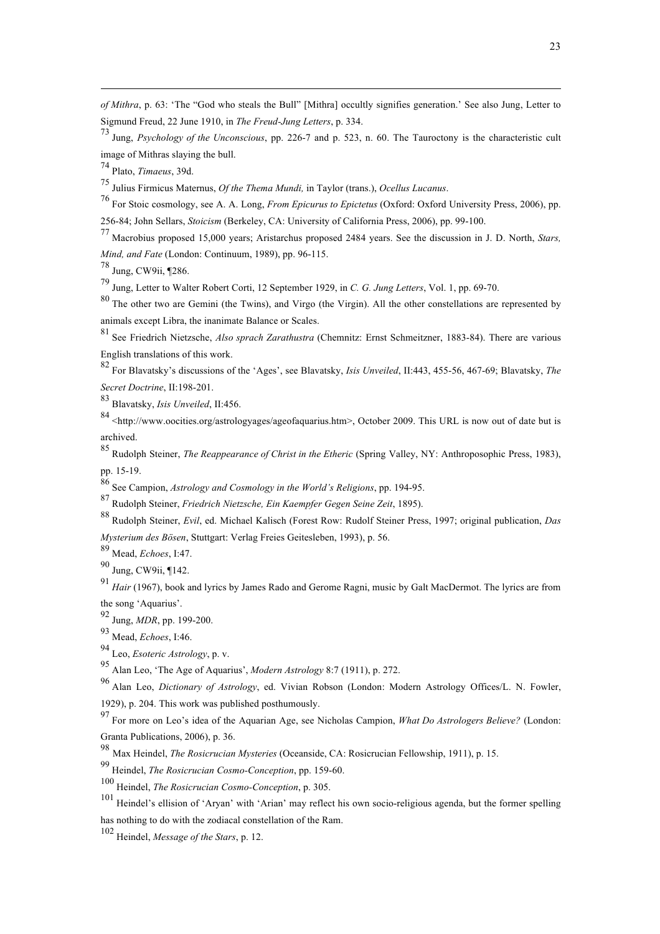*of Mithra*, p. 63: 'The "God who steals the Bull" [Mithra] occultly signifies generation.' See also Jung, Letter to Sigmund Freud, 22 June 1910, in *The Freud-Jung Letters*, p. 334.

 Jung, *Psychology of the Unconscious*, pp. 226-7 and p. 523, n. 60. The Tauroctony is the characteristic cult image of Mithras slaying the bull.

Plato, *Timaeus*, 39d.

l

Julius Firmicus Maternus, *Of the Thema Mundi,* in Taylor (trans.), *Ocellus Lucanus*.

 For Stoic cosmology, see A. A. Long, *From Epicurus to Epictetus* (Oxford: Oxford University Press, 2006), pp. 256-84; John Sellars, *Stoicism* (Berkeley, CA: University of California Press, 2006), pp. 99-100.

 Macrobius proposed 15,000 years; Aristarchus proposed 2484 years. See the discussion in J. D. North, *Stars, Mind, and Fate* (London: Continuum, 1989), pp. 96-115.

Jung, CW9ii, ¶286.

Jung, Letter to Walter Robert Corti, 12 September 1929, in *C. G. Jung Letters*, Vol. 1, pp. 69-70.

80 The other two are Gemini (the Twins), and Virgo (the Virgin). All the other constellations are represented by animals except Libra, the inanimate Balance or Scales.

 See Friedrich Nietzsche, *Also sprach Zarathustra* (Chemnitz: Ernst Schmeitzner, 1883-84). There are various English translations of this work.

 For Blavatsky's discussions of the 'Ages', see Blavatsky, *Isis Unveiled*, II:443, 455-56, 467-69; Blavatsky, *The Secret Doctrine*, II:198-201.

Blavatsky, *Isis Unveiled*, II:456.

 <http://www.oocities.org/astrologyages/ageofaquarius.htm>, October 2009. This URL is now out of date but is archived.

 Rudolph Steiner, *The Reappearance of Christ in the Etheric* (Spring Valley, NY: Anthroposophic Press, 1983), pp. 15-19.

See Campion, *Astrology and Cosmology in the World's Religions*, pp. 194-95.

Rudolph Steiner, *Friedrich Nietzsche, Ein Kaempfer Gegen Seine Zeit*, 1895).

 Rudolph Steiner, *Evil*, ed. Michael Kalisch (Forest Row: Rudolf Steiner Press, 1997; original publication, *Das Mysterium des Bösen*, Stuttgart: Verlag Freies Geitesleben, 1993), p. 56.

Mead, *Echoes*, I:47.

Jung, CW9ii, ¶142.

 *Hair* (1967), book and lyrics by James Rado and Gerome Ragni, music by Galt MacDermot. The lyrics are from the song 'Aquarius'.

Jung, *MDR*, pp. 199-200.

Mead, *Echoes*, I:46.

Leo, *Esoteric Astrology*, p. v.

Alan Leo, 'The Age of Aquarius', *Modern Astrology* 8:7 (1911), p. 272.

 Alan Leo, *Dictionary of Astrology*, ed. Vivian Robson (London: Modern Astrology Offices/L. N. Fowler, 1929), p. 204. This work was published posthumously.

 For more on Leo's idea of the Aquarian Age, see Nicholas Campion, *What Do Astrologers Believe?* (London: Granta Publications, 2006), p. 36.

Max Heindel, *The Rosicrucian Mysteries* (Oceanside, CA: Rosicrucian Fellowship, 1911), p. 15.

Heindel, *The Rosicrucian Cosmo-Conception*, pp. 159-60.

Heindel, *The Rosicrucian Cosmo-Conception*, p. 305.

<sup>101</sup> Heindel's ellision of 'Aryan' with 'Arian' may reflect his own socio-religious agenda, but the former spelling has nothing to do with the zodiacal constellation of the Ram.

Heindel, *Message of the Stars*, p. 12.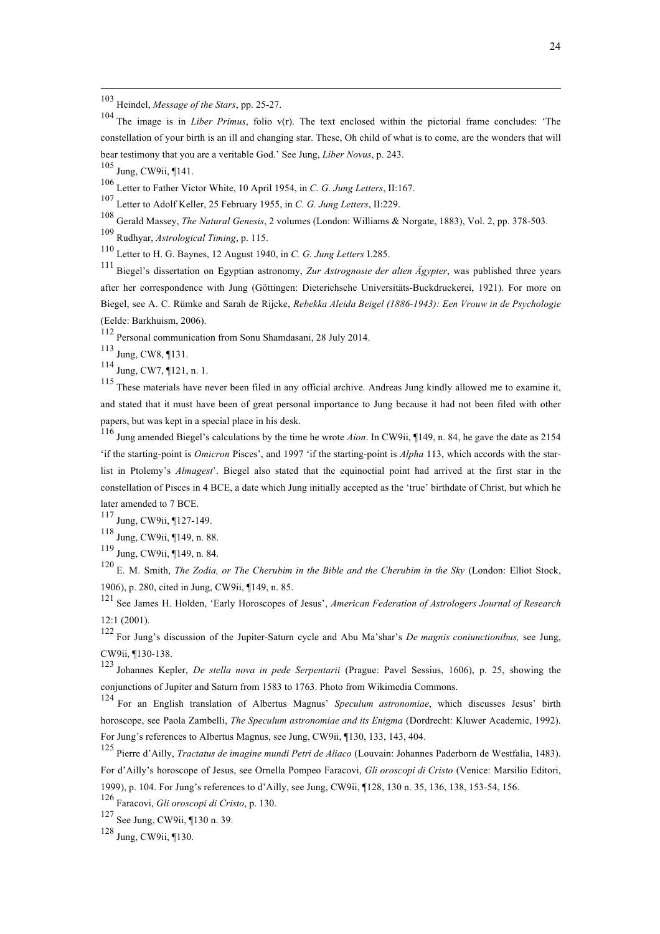<sup>104</sup> The image is in *Liber Primus*, folio v(r). The text enclosed within the pictorial frame concludes: 'The constellation of your birth is an ill and changing star. These, Oh child of what is to come, are the wonders that will bear testimony that you are a veritable God.' See Jung, *Liber Novus*, p. 243.

<sup>105</sup> Jung, CW9ii, ¶141.

l

<sup>106</sup> Letter to Father Victor White, 10 April 1954, in *C. G. Jung Letters*, II:167.

<sup>107</sup> Letter to Adolf Keller, 25 February 1955, in *C. G. Jung Letters*, II:229.

<sup>108</sup> Gerald Massey, *The Natural Genesis*, 2 volumes (London: Williams & Norgate, 1883), Vol. 2, pp. 378-503.

<sup>109</sup> Rudhyar, *Astrological Timing*, p. 115.

<sup>110</sup> Letter to H. G. Baynes, 12 August 1940, in *C. G. Jung Letters* I.285.

<sup>111</sup> Biegel's dissertation on Egyptian astronomy, *Zur Astrognosie der alten Ägypter*, was published three years after her correspondence with Jung (Göttingen: Dieterichsche Universitäts-Buckdruckerei, 1921). For more on Biegel, see A. C. Rümke and Sarah de Rijcke, *Rebekka Aleida Beigel (1886-1943): Een Vrouw in de Psychologie* (Eelde: Barkhuism, 2006).

<sup>112</sup> Personal communication from Sonu Shamdasani, 28 July 2014.

<sup>113</sup> Jung, CW8, ¶131.

<sup>114</sup> Jung, CW7, ¶121, n. 1.

<sup>115</sup> These materials have never been filed in any official archive. Andreas Jung kindly allowed me to examine it, and stated that it must have been of great personal importance to Jung because it had not been filed with other papers, but was kept in a special place in his desk.

<sup>116</sup> Jung amended Biegel's calculations by the time he wrote *Aion*. In CW9ii, ¶149, n. 84, he gave the date as 2154 'if the starting-point is *Omicron* Pisces', and 1997 'if the starting-point is *Alpha* 113, which accords with the starlist in Ptolemy's *Almagest*'. Biegel also stated that the equinoctial point had arrived at the first star in the constellation of Pisces in 4 BCE, a date which Jung initially accepted as the 'true' birthdate of Christ, but which he later amended to 7 BCE.

<sup>117</sup> Jung, CW9ii, ¶127-149.

<sup>118</sup> Jung, CW9ii, ¶149, n. 88.

<sup>119</sup> Jung, CW9ii, ¶149, n. 84.

<sup>120</sup> E. M. Smith, *The Zodia, or The Cherubim in the Bible and the Cherubim in the Sky* (London: Elliot Stock, 1906), p. 280, cited in Jung, CW9ii, ¶149, n. 85.

<sup>121</sup> See James H. Holden, 'Early Horoscopes of Jesus', *American Federation of Astrologers Journal of Research* 12:1 (2001).

<sup>122</sup> For Jung's discussion of the Jupiter-Saturn cycle and Abu Ma'shar's *De magnis coniunctionibus,* see Jung, CW9ii, ¶130-138.

<sup>123</sup> Johannes Kepler, *De stella nova in pede Serpentarii* (Prague: Pavel Sessius, 1606), p. 25, showing the conjunctions of Jupiter and Saturn from 1583 to 1763. Photo from Wikimedia Commons.

<sup>124</sup> For an English translation of Albertus Magnus' *Speculum astronomiae*, which discusses Jesus' birth horoscope, see Paola Zambelli, *The Speculum astronomiae and its Enigma* (Dordrecht: Kluwer Academic, 1992). For Jung's references to Albertus Magnus, see Jung, CW9ii, ¶130, 133, 143, 404.

<sup>125</sup> Pierre d'Ailly, *Tractatus de imagine mundi Petri de Aliaco* (Louvain: Johannes Paderborn de Westfalia, 1483). For d'Ailly's horoscope of Jesus, see Ornella Pompeo Faracovi, *Gli oroscopi di Cristo* (Venice: Marsilio Editori, 1999), p. 104. For Jung's references to d'Ailly, see Jung, CW9ii, ¶128, 130 n. 35, 136, 138, 153-54, 156.

<sup>126</sup> Faracovi, *Gli oroscopi di Cristo*, p. 130.

<sup>127</sup> See Jung, CW9ii, ¶130 n. 39.

<sup>128</sup> Jung, CW9ii, ¶130.

<sup>103</sup> Heindel, *Message of the Stars*, pp. 25-27.